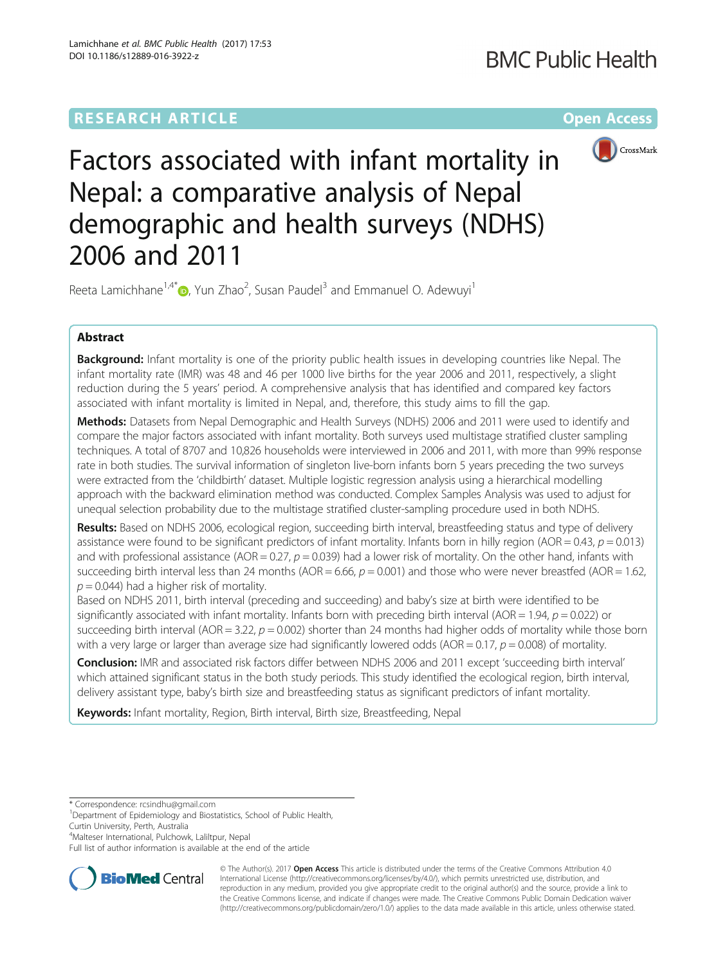# **RESEARCH ARTICLE Example 2014 12:30 The Community Community Community Community Community Community Community**



Factors associated with infant mortality in Nepal: a comparative analysis of Nepal demographic and health surveys (NDHS) 2006 and 2011

Reeta Lamichhane<sup>1[,](http://orcid.org/0000-0002-7104-0224)4\*</sup> $\textcircled{\tiny D}$ , Yun Zhao<sup>2</sup>, Susan Paudel<sup>3</sup> and Emmanuel O. Adewuyi<sup>1</sup>

# Abstract

Background: Infant mortality is one of the priority public health issues in developing countries like Nepal. The infant mortality rate (IMR) was 48 and 46 per 1000 live births for the year 2006 and 2011, respectively, a slight reduction during the 5 years' period. A comprehensive analysis that has identified and compared key factors associated with infant mortality is limited in Nepal, and, therefore, this study aims to fill the gap.

Methods: Datasets from Nepal Demographic and Health Surveys (NDHS) 2006 and 2011 were used to identify and compare the major factors associated with infant mortality. Both surveys used multistage stratified cluster sampling techniques. A total of 8707 and 10,826 households were interviewed in 2006 and 2011, with more than 99% response rate in both studies. The survival information of singleton live-born infants born 5 years preceding the two surveys were extracted from the 'childbirth' dataset. Multiple logistic regression analysis using a hierarchical modelling approach with the backward elimination method was conducted. Complex Samples Analysis was used to adjust for unequal selection probability due to the multistage stratified cluster-sampling procedure used in both NDHS.

Results: Based on NDHS 2006, ecological region, succeeding birth interval, breastfeeding status and type of delivery assistance were found to be significant predictors of infant mortality. Infants born in hilly region (AOR = 0.43,  $p = 0.013$ ) and with professional assistance (AOR = 0.27,  $p = 0.039$ ) had a lower risk of mortality. On the other hand, infants with succeeding birth interval less than 24 months (AOR = 6.66,  $p = 0.001$ ) and those who were never breastfed (AOR = 1.62,  $p = 0.044$ ) had a higher risk of mortality.

Based on NDHS 2011, birth interval (preceding and succeeding) and baby's size at birth were identified to be significantly associated with infant mortality. Infants born with preceding birth interval (AOR = 1.94,  $p = 0.022$ ) or succeeding birth interval (AOR = 3.22,  $p = 0.002$ ) shorter than 24 months had higher odds of mortality while those born with a very large or larger than average size had significantly lowered odds (AOR =  $0.17$ ,  $p = 0.008$ ) of mortality.

Conclusion: IMR and associated risk factors differ between NDHS 2006 and 2011 except 'succeeding birth interval' which attained significant status in the both study periods. This study identified the ecological region, birth interval, delivery assistant type, baby's birth size and breastfeeding status as significant predictors of infant mortality.

Keywords: Infant mortality, Region, Birth interval, Birth size, Breastfeeding, Nepal

\* Correspondence: [rcsindhu@gmail.com](mailto:rcsindhu@gmail.com) <sup>1</sup>

4 Malteser International, Pulchowk, Laliltpur, Nepal

Full list of author information is available at the end of the article



© The Author(s). 2017 **Open Access** This article is distributed under the terms of the Creative Commons Attribution 4.0 International License [\(http://creativecommons.org/licenses/by/4.0/](http://creativecommons.org/licenses/by/4.0/)), which permits unrestricted use, distribution, and reproduction in any medium, provided you give appropriate credit to the original author(s) and the source, provide a link to the Creative Commons license, and indicate if changes were made. The Creative Commons Public Domain Dedication waiver [\(http://creativecommons.org/publicdomain/zero/1.0/](http://creativecommons.org/publicdomain/zero/1.0/)) applies to the data made available in this article, unless otherwise stated.

<sup>&</sup>lt;sup>1</sup>Department of Epidemiology and Biostatistics, School of Public Health, Curtin University, Perth, Australia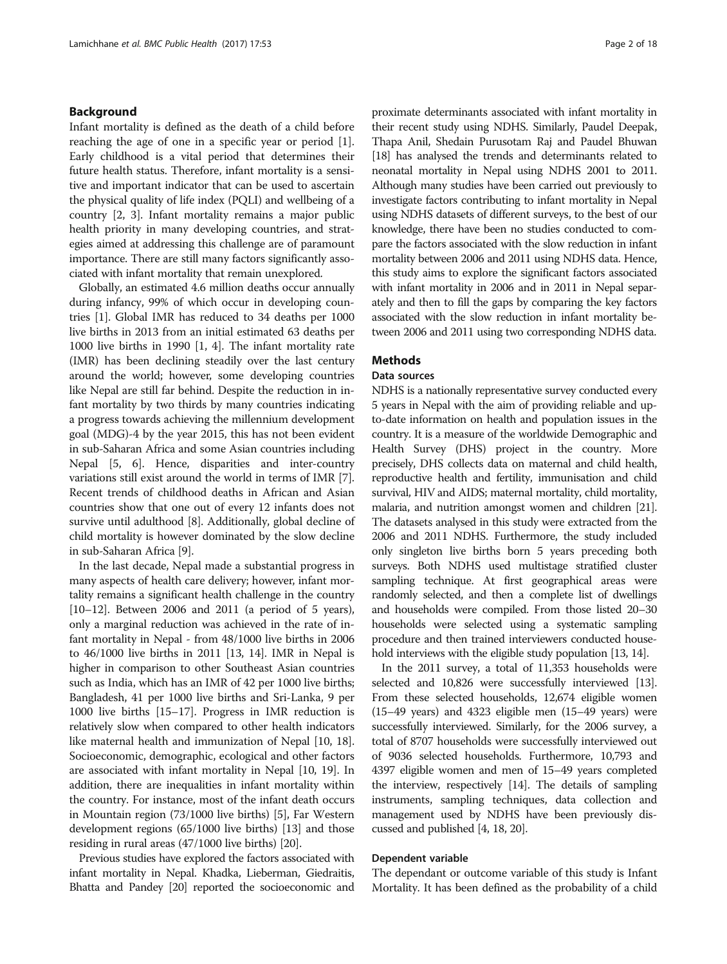#### Background

Infant mortality is defined as the death of a child before reaching the age of one in a specific year or period [\[1](#page-16-0)]. Early childhood is a vital period that determines their future health status. Therefore, infant mortality is a sensitive and important indicator that can be used to ascertain the physical quality of life index (PQLI) and wellbeing of a country [\[2](#page-16-0), [3](#page-16-0)]. Infant mortality remains a major public health priority in many developing countries, and strategies aimed at addressing this challenge are of paramount importance. There are still many factors significantly associated with infant mortality that remain unexplored.

Globally, an estimated 4.6 million deaths occur annually during infancy, 99% of which occur in developing countries [[1](#page-16-0)]. Global IMR has reduced to 34 deaths per 1000 live births in 2013 from an initial estimated 63 deaths per 1000 live births in 1990 [[1, 4](#page-16-0)]. The infant mortality rate (IMR) has been declining steadily over the last century around the world; however, some developing countries like Nepal are still far behind. Despite the reduction in infant mortality by two thirds by many countries indicating a progress towards achieving the millennium development goal (MDG)-4 by the year 2015, this has not been evident in sub-Saharan Africa and some Asian countries including Nepal [\[5](#page-16-0), [6](#page-16-0)]. Hence, disparities and inter-country variations still exist around the world in terms of IMR [[7](#page-16-0)]. Recent trends of childhood deaths in African and Asian countries show that one out of every 12 infants does not survive until adulthood [[8\]](#page-16-0). Additionally, global decline of child mortality is however dominated by the slow decline in sub-Saharan Africa [\[9\]](#page-16-0).

In the last decade, Nepal made a substantial progress in many aspects of health care delivery; however, infant mortality remains a significant health challenge in the country [[10](#page-16-0)–[12\]](#page-16-0). Between 2006 and 2011 (a period of 5 years), only a marginal reduction was achieved in the rate of infant mortality in Nepal - from 48/1000 live births in 2006 to 46/1000 live births in 2011 [\[13, 14\]](#page-16-0). IMR in Nepal is higher in comparison to other Southeast Asian countries such as India, which has an IMR of 42 per 1000 live births; Bangladesh, 41 per 1000 live births and Sri-Lanka, 9 per 1000 live births [[15](#page-16-0)–[17\]](#page-17-0). Progress in IMR reduction is relatively slow when compared to other health indicators like maternal health and immunization of Nepal [[10](#page-16-0), [18](#page-17-0)]. Socioeconomic, demographic, ecological and other factors are associated with infant mortality in Nepal [[10](#page-16-0), [19\]](#page-17-0). In addition, there are inequalities in infant mortality within the country. For instance, most of the infant death occurs in Mountain region (73/1000 live births) [\[5](#page-16-0)], Far Western development regions (65/1000 live births) [\[13\]](#page-16-0) and those residing in rural areas (47/1000 live births) [\[20](#page-17-0)].

Previous studies have explored the factors associated with infant mortality in Nepal. Khadka, Lieberman, Giedraitis, Bhatta and Pandey [\[20\]](#page-17-0) reported the socioeconomic and proximate determinants associated with infant mortality in their recent study using NDHS. Similarly, Paudel Deepak, Thapa Anil, Shedain Purusotam Raj and Paudel Bhuwan [[18](#page-17-0)] has analysed the trends and determinants related to neonatal mortality in Nepal using NDHS 2001 to 2011. Although many studies have been carried out previously to investigate factors contributing to infant mortality in Nepal using NDHS datasets of different surveys, to the best of our knowledge, there have been no studies conducted to compare the factors associated with the slow reduction in infant mortality between 2006 and 2011 using NDHS data. Hence, this study aims to explore the significant factors associated with infant mortality in 2006 and in 2011 in Nepal separately and then to fill the gaps by comparing the key factors associated with the slow reduction in infant mortality between 2006 and 2011 using two corresponding NDHS data.

#### Methods

#### Data sources

NDHS is a nationally representative survey conducted every 5 years in Nepal with the aim of providing reliable and upto-date information on health and population issues in the country. It is a measure of the worldwide Demographic and Health Survey (DHS) project in the country. More precisely, DHS collects data on maternal and child health, reproductive health and fertility, immunisation and child survival, HIV and AIDS; maternal mortality, child mortality, malaria, and nutrition amongst women and children [\[21](#page-17-0)]. The datasets analysed in this study were extracted from the 2006 and 2011 NDHS. Furthermore, the study included only singleton live births born 5 years preceding both surveys. Both NDHS used multistage stratified cluster sampling technique. At first geographical areas were randomly selected, and then a complete list of dwellings and households were compiled. From those listed 20–30 households were selected using a systematic sampling procedure and then trained interviewers conducted house-hold interviews with the eligible study population [\[13, 14\]](#page-16-0).

In the 2011 survey, a total of 11,353 households were selected and 10,826 were successfully interviewed [[13](#page-16-0)]. From these selected households, 12,674 eligible women (15–49 years) and 4323 eligible men (15–49 years) were successfully interviewed. Similarly, for the 2006 survey, a total of 8707 households were successfully interviewed out of 9036 selected households. Furthermore, 10,793 and 4397 eligible women and men of 15–49 years completed the interview, respectively [[14](#page-16-0)]. The details of sampling instruments, sampling techniques, data collection and management used by NDHS have been previously discussed and published [\[4](#page-16-0), [18](#page-17-0), [20](#page-17-0)].

#### Dependent variable

The dependant or outcome variable of this study is Infant Mortality. It has been defined as the probability of a child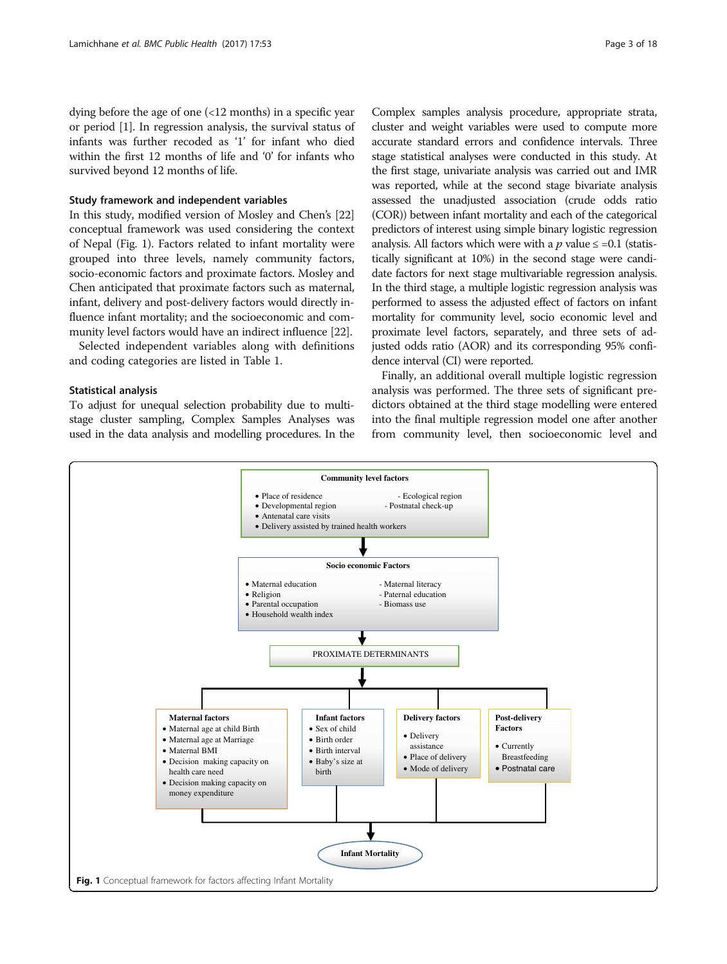dying before the age of one (<12 months) in a specific year or period [[1\]](#page-16-0). In regression analysis, the survival status of infants was further recoded as '1' for infant who died within the first 12 months of life and '0' for infants who survived beyond 12 months of life.

#### Study framework and independent variables

In this study, modified version of Mosley and Chen's [[22](#page-17-0)] conceptual framework was used considering the context of Nepal (Fig. 1). Factors related to infant mortality were grouped into three levels, namely community factors, socio-economic factors and proximate factors. Mosley and Chen anticipated that proximate factors such as maternal, infant, delivery and post-delivery factors would directly influence infant mortality; and the socioeconomic and community level factors would have an indirect influence [\[22\]](#page-17-0).

Selected independent variables along with definitions and coding categories are listed in Table [1](#page-3-0).

#### Statistical analysis

To adjust for unequal selection probability due to multistage cluster sampling, Complex Samples Analyses was used in the data analysis and modelling procedures. In the

Complex samples analysis procedure, appropriate strata, cluster and weight variables were used to compute more accurate standard errors and confidence intervals. Three stage statistical analyses were conducted in this study. At the first stage, univariate analysis was carried out and IMR was reported, while at the second stage bivariate analysis assessed the unadjusted association (crude odds ratio (COR)) between infant mortality and each of the categorical predictors of interest using simple binary logistic regression analysis. All factors which were with a  $p$  value  $\leq$  =0.1 (statistically significant at 10%) in the second stage were candidate factors for next stage multivariable regression analysis. In the third stage, a multiple logistic regression analysis was performed to assess the adjusted effect of factors on infant mortality for community level, socio economic level and proximate level factors, separately, and three sets of adjusted odds ratio (AOR) and its corresponding 95% confidence interval (CI) were reported.

Finally, an additional overall multiple logistic regression analysis was performed. The three sets of significant predictors obtained at the third stage modelling were entered into the final multiple regression model one after another from community level, then socioeconomic level and

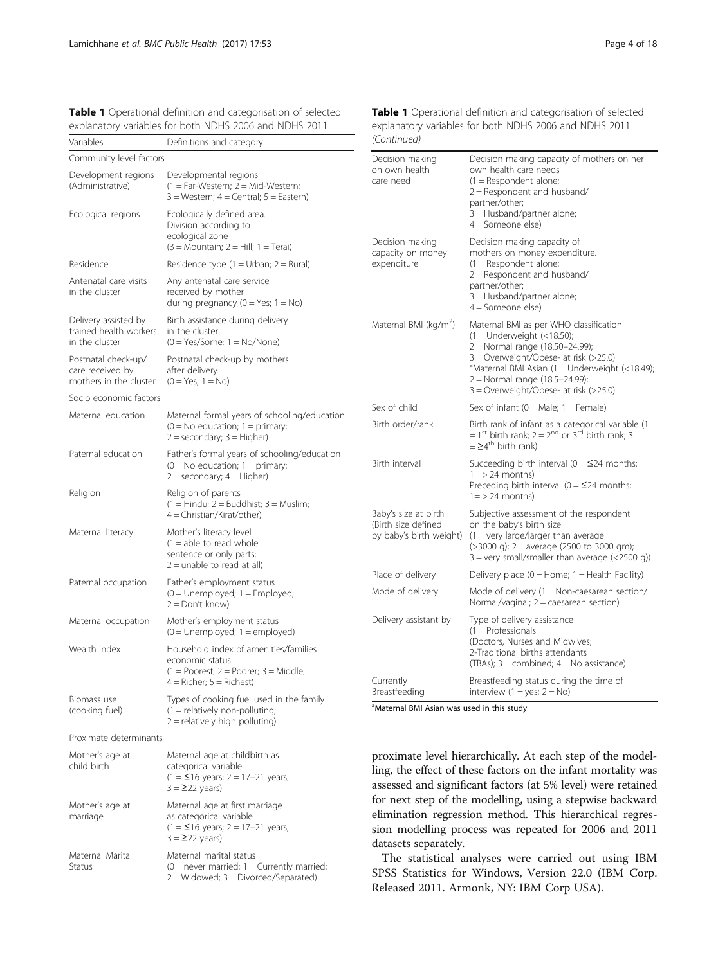<span id="page-3-0"></span>Variables

Community level factors Development regions (Administrative)

Ecological regions

Antenatal care visits in the cluster

Delivery assisted by trained health workers in the cluster

Postnatal check-up/ care received by mothers in the cluster

Socio economic factors Maternal education

Paternal education

Maternal literacy

Paternal occupation

Maternal occupation

Wealth index

Biomass use (cooking fuel)

Religion

Residence

| Definitions and category                                                                                                                     | (Continued)                                            |                                                                                                                                                                                                     |  |  |  |  |
|----------------------------------------------------------------------------------------------------------------------------------------------|--------------------------------------------------------|-----------------------------------------------------------------------------------------------------------------------------------------------------------------------------------------------------|--|--|--|--|
| Developmental regions<br>(1 = Far-Western; 2 = Mid-Western;<br>$3 = Western$ ; $4 = Central$ ; $5 = Eastern$ )<br>Ecologically defined area. | Decision making<br>on own health<br>care need          | Decision making capacity of mothers on her<br>own health care needs<br>$(1 =$ Respondent alone;<br>$2 =$ Respondent and husband/<br>partner/other;<br>3 = Husband/partner alone;                    |  |  |  |  |
| Division according to<br>ecological zone<br>$(3 = \text{Mountain}; 2 = \text{Hill}; 1 = \text{Teral})$                                       | Decision making<br>capacity on money                   | 4 = Someone else)<br>Decision making capacity of<br>mothers on money expenditure.                                                                                                                   |  |  |  |  |
| Residence type (1 = Urban; 2 = Rural)                                                                                                        | expenditure                                            | $(1 =$ Respondent alone;                                                                                                                                                                            |  |  |  |  |
| Any antenatal care service<br>received by mother<br>during pregnancy (0 = Yes; 1 = No)                                                       |                                                        | $2 =$ Respondent and husband/<br>partner/other;<br>3 = Husband/partner alone;<br>$4 =$ Someone else)                                                                                                |  |  |  |  |
| Birth assistance during delivery<br>in the cluster<br>$(0 = Yes/Some; 1 = No/None)$                                                          | Maternal BMI ( $kg/m2$ )                               | Maternal BMI as per WHO classification<br>$(1 =$ Underweight $(< 18.50)$ ;<br>2 = Normal range (18.50-24.99);                                                                                       |  |  |  |  |
| Postnatal check-up by mothers<br>after delivery<br>$(0 = Yes; 1 = No)$                                                                       |                                                        | 3 = Overweight/Obese- at risk (>25.0)<br>$^4$ Maternal BMI Asian (1 = Underweight (<18.49);<br>2 = Normal range (18.5-24.99);<br>$3 =$ Overweight/Obese- at risk (>25.0)                            |  |  |  |  |
| Maternal formal years of schooling/education                                                                                                 | Sex of child                                           | Sex of infant ( $0 =$ Male; $1 =$ Female)                                                                                                                                                           |  |  |  |  |
| $(0 = No$ education; $1 = primary$ ;<br>2 = secondary; 3 = Higher)                                                                           | Birth order/rank                                       | Birth rank of infant as a categorical variable (1<br>= 1 <sup>st</sup> birth rank; $2 = 2^{nd}$ or 3 <sup>rd</sup> birth rank; 3<br>$=$ $\geq$ 4 <sup>th</sup> birth rank)                          |  |  |  |  |
| Father's formal years of schooling/education<br>$(0 = No$ education; $1 = primary$ ;<br>2 = secondary; 4 = Higher)                           | Birth interval                                         | Succeeding birth interval ( $0 = 24$ months;<br>$1 = 24$ months)<br>Preceding birth interval ( $0 = 24$ months;                                                                                     |  |  |  |  |
| Religion of parents<br>(1 = Hindu; 2 = Buddhist; 3 = Muslim;<br>4 = Christian/Kirat/other)                                                   | Baby's size at birth                                   | $1 = 24$ months)<br>Subjective assessment of the respondent                                                                                                                                         |  |  |  |  |
| Mother's literacy level<br>$(1 =$ able to read whole<br>sentence or only parts;<br>2 = unable to read at all)                                | (Birth size defined<br>by baby's birth weight)         | on the baby's birth size<br>$(1 = \text{very large/larger than average})$<br>$(>3000 \text{ q})$ ; 2 = average (2500 to 3000 gm);<br>$3 = \text{very small/s}$ mall/smaller than average (<2500 g)) |  |  |  |  |
| Father's employment status                                                                                                                   | Place of delivery                                      | Delivery place ( $0 =$ Home; $1 =$ Health Facility)                                                                                                                                                 |  |  |  |  |
| $(0 =$ Unemployed; $1 =$ Employed;<br>2 = Don't know)                                                                                        | Mode of delivery                                       | Mode of delivery $(1 = \text{Non-caesarean section}/$<br>Normal/vaginal; $2 =$ caesarean section)                                                                                                   |  |  |  |  |
| Mother's employment status<br>$(0 =$ Unemployed; $1 =$ employed)                                                                             | Delivery assistant by                                  | Type of delivery assistance<br>$(1 =$ Professionals                                                                                                                                                 |  |  |  |  |
| Household index of amenities/families<br>economic status<br>$(1 = \text{Poorest}; 2 = \text{Poorer}; 3 = \text{Middle};$                     | Currently                                              | (Doctors, Nurses and Midwives;<br>2-Traditional births attendants<br>(TBAs); $3 =$ combined; $4 =$ No assistance)<br>Breastfeeding status during the time of                                        |  |  |  |  |
| $4 =$ Richer; $5 =$ Richest)<br>Types of cooking fuel used in the family                                                                     | Breastfeeding                                          | interview $(1 = yes; 2 = No)$                                                                                                                                                                       |  |  |  |  |
| $(1 =$ relatively non-polluting;<br>2 = relatively high polluting)                                                                           | <sup>a</sup> Maternal BMI Asian was used in this study |                                                                                                                                                                                                     |  |  |  |  |

Proximate determinants

| Mother's age at<br>child birth    | Maternal age at childbirth as<br>categorical variable<br>$(1 = 516$ years; 2 = 17-21 years;<br>$3 = 222$ years)       |
|-----------------------------------|-----------------------------------------------------------------------------------------------------------------------|
| Mother's age at<br>marriage       | Maternal age at first marriage<br>as categorical variable<br>$(1 = 516$ years; $2 = 17-21$ years;<br>$3 = 222$ years) |
| Maternal Marital<br><b>Status</b> | Maternal marital status<br>$(0 =$ never married; 1 = Currently married;<br>$2 =$ Widowed; $3 =$ Divorced/Separated)   |

Table 1 Operational definition and categorisation of selected explanatory variables for both NDHS 2006 and NDHS 2011 (Continued)

proximate level hierarchically. At each step of the modelling, the effect of these factors on the infant mortality was assessed and significant factors (at 5% level) were retained for next step of the modelling, using a stepwise backward elimination regression method. This hierarchical regression modelling process was repeated for 2006 and 2011 datasets separately.

The statistical analyses were carried out using IBM SPSS Statistics for Windows, Version 22.0 (IBM Corp. Released 2011. Armonk, NY: IBM Corp USA).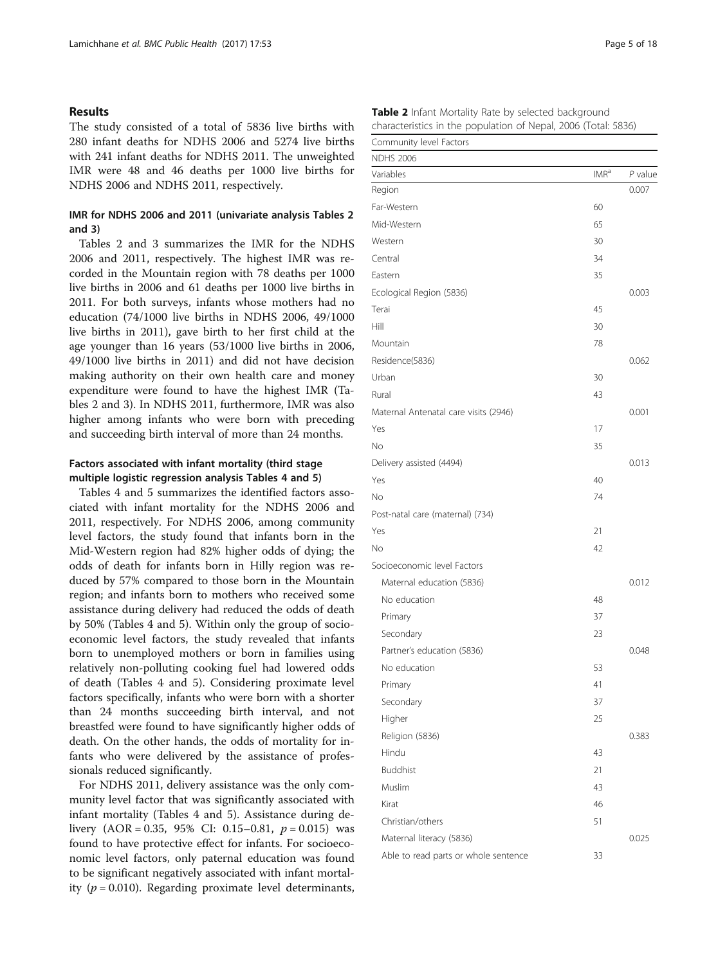#### Results

The study consisted of a total of 5836 live births with 280 infant deaths for NDHS 2006 and 5274 live births with 241 infant deaths for NDHS 2011. The unweighted IMR were 48 and 46 deaths per 1000 live births for NDHS 2006 and NDHS 2011, respectively.

### IMR for NDHS 2006 and 2011 (univariate analysis Tables 2 and [3](#page-6-0))

Tables 2 and [3](#page-6-0) summarizes the IMR for the NDHS 2006 and 2011, respectively. The highest IMR was recorded in the Mountain region with 78 deaths per 1000 live births in 2006 and 61 deaths per 1000 live births in 2011. For both surveys, infants whose mothers had no education (74/1000 live births in NDHS 2006, 49/1000 live births in 2011), gave birth to her first child at the age younger than 16 years (53/1000 live births in 2006, 49/1000 live births in 2011) and did not have decision making authority on their own health care and money expenditure were found to have the highest IMR (Tables 2 and [3](#page-6-0)). In NDHS 2011, furthermore, IMR was also higher among infants who were born with preceding and succeeding birth interval of more than 24 months.

### Factors associated with infant mortality (third stage multiple logistic regression analysis Tables [4](#page-8-0) and [5\)](#page-11-0)

Tables [4](#page-8-0) and [5](#page-11-0) summarizes the identified factors associated with infant mortality for the NDHS 2006 and 2011, respectively. For NDHS 2006, among community level factors, the study found that infants born in the Mid-Western region had 82% higher odds of dying; the odds of death for infants born in Hilly region was reduced by 57% compared to those born in the Mountain region; and infants born to mothers who received some assistance during delivery had reduced the odds of death by 50% (Tables [4](#page-8-0) and [5\)](#page-11-0). Within only the group of socioeconomic level factors, the study revealed that infants born to unemployed mothers or born in families using relatively non-polluting cooking fuel had lowered odds of death (Tables [4](#page-8-0) and [5\)](#page-11-0). Considering proximate level factors specifically, infants who were born with a shorter than 24 months succeeding birth interval, and not breastfed were found to have significantly higher odds of death. On the other hands, the odds of mortality for infants who were delivered by the assistance of professionals reduced significantly.

For NDHS 2011, delivery assistance was the only community level factor that was significantly associated with infant mortality (Tables [4](#page-8-0) and [5\)](#page-11-0). Assistance during delivery  $(AOR = 0.35, 95\% \text{ CI: } 0.15-0.81, p = 0.015)$  was found to have protective effect for infants. For socioeconomic level factors, only paternal education was found to be significant negatively associated with infant mortality ( $p = 0.010$ ). Regarding proximate level determinants,

| COMMUNISMENT LACTORS                  |         |         |
|---------------------------------------|---------|---------|
| <b>NDHS 2006</b>                      |         |         |
| Variables                             | $IMR^a$ | P value |
| Region                                |         | 0.007   |
| Far-Western                           | 60      |         |
| Mid-Western                           | 65      |         |
| Western                               | 30      |         |
| Central                               | 34      |         |
| Eastern                               | 35      |         |
| Ecological Region (5836)              |         | 0.003   |
| Terai                                 | 45      |         |
| Hill                                  | 30      |         |
| Mountain                              | 78      |         |
| Residence(5836)                       |         | 0.062   |
| Urban                                 | 30      |         |
| Rural                                 | 43      |         |
| Maternal Antenatal care visits (2946) |         | 0.001   |
| Yes                                   | 17      |         |
| No                                    | 35      |         |
| Delivery assisted (4494)              |         | 0.013   |
| Yes                                   | 40      |         |
| No                                    | 74      |         |
| Post-natal care (maternal) (734)      |         |         |
| Yes                                   | 21      |         |
| No                                    | 42      |         |
| Socioeconomic level Factors           |         |         |
| Maternal education (5836)             |         | 0.012   |
| No education                          | 48      |         |
| Primary                               | 37      |         |
| Secondary                             | 23      |         |
| Partner's education (5836)            |         | 0.048   |
| No education                          | 53      |         |
| Primary                               | 41      |         |
| Secondary                             | 37      |         |
| Higher                                | 25      |         |
| Religion (5836)                       |         | 0.383   |
| Hindu                                 | 43      |         |
| <b>Buddhist</b>                       | 21      |         |
| Muslim                                | 43      |         |
| Kirat                                 | 46      |         |
| Christian/others                      | 51      |         |
| Maternal literacy (5836)              |         | 0.025   |
| Able to read parts or whole sentence  | 33      |         |

| Table 2 Infant Mortality Rate by selected background           |  |  |
|----------------------------------------------------------------|--|--|
| characteristics in the population of Nepal, 2006 (Total: 5836) |  |  |

Community level Factors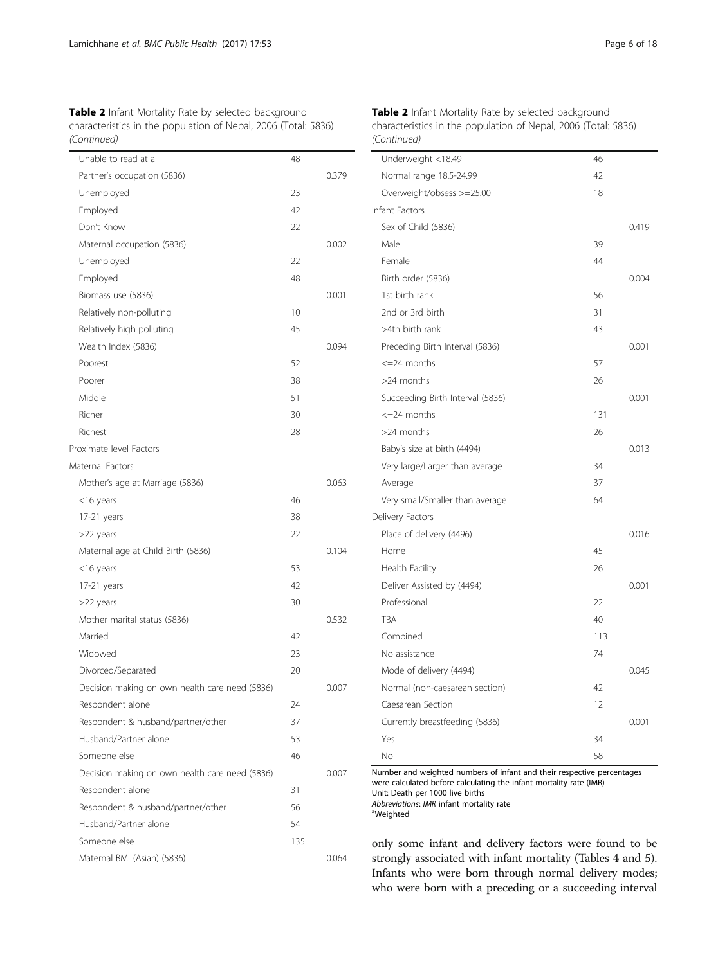| Table 2 Infant Mortality Rate by selected background           |
|----------------------------------------------------------------|
| characteristics in the population of Nepal, 2006 (Total: 5836) |
| (Continued)                                                    |

| Unable to read at all                          | 48  |       |
|------------------------------------------------|-----|-------|
| Partner's occupation (5836)                    |     | 0.379 |
| Unemployed                                     | 23  |       |
| Employed                                       | 42  |       |
| Don't Know                                     | 22  |       |
| Maternal occupation (5836)                     |     | 0.002 |
| Unemployed                                     | 22  |       |
| Employed                                       | 48  |       |
| Biomass use (5836)                             |     | 0.001 |
| Relatively non-polluting                       | 10  |       |
| Relatively high polluting                      | 45  |       |
| Wealth Index (5836)                            |     | 0.094 |
| Poorest                                        | 52  |       |
| Poorer                                         | 38  |       |
| Middle                                         | 51  |       |
| Richer                                         | 30  |       |
| Richest                                        | 28  |       |
| Proximate level Factors                        |     |       |
| Maternal Factors                               |     |       |
| Mother's age at Marriage (5836)                |     | 0.063 |
| $<$ 16 years                                   | 46  |       |
| 17-21 years                                    | 38  |       |
| >22 years                                      | 22  |       |
| Maternal age at Child Birth (5836)             |     | 0.104 |
| <16 years                                      | 53  |       |
| 17-21 years                                    | 42  |       |
| >22 years                                      | 30  |       |
| Mother marital status (5836)                   |     | 0.532 |
| Married                                        | 42  |       |
| Widowed                                        | 23  |       |
| Divorced/Separated                             | 20  |       |
| Decision making on own health care need (5836) |     | 0.007 |
| Respondent alone                               | 24  |       |
| Respondent & husband/partner/other             | 37  |       |
| Husband/Partner alone                          | 53  |       |
| Someone else                                   | 46  |       |
| Decision making on own health care need (5836) |     | 0.007 |
| Respondent alone                               | 31  |       |
| Respondent & husband/partner/other             | 56  |       |
| Husband/Partner alone                          | 54  |       |
| Someone else                                   | 135 |       |
| Maternal BMI (Asian) (5836)                    |     | 0.064 |
|                                                |     |       |

Table 2 Infant Mortality Rate by selected background characteristics in the population of Nepal, 2006 (Total: 5836) (Continued)

| Underweight <18.49               | 46  |       |
|----------------------------------|-----|-------|
| Normal range 18.5-24.99          | 42  |       |
| Overweight/obsess >=25.00        | 18  |       |
| Infant Factors                   |     |       |
| Sex of Child (5836)              |     | 0.419 |
| Male                             | 39  |       |
| Female                           | 44  |       |
| Birth order (5836)               |     | 0.004 |
| 1st birth rank                   | 56  |       |
| 2nd or 3rd birth                 | 31  |       |
| >4th birth rank                  | 43  |       |
| Preceding Birth Interval (5836)  |     | 0.001 |
| $\leq$ =24 months                | 57  |       |
| >24 months                       | 26  |       |
| Succeeding Birth Interval (5836) |     | 0.001 |
| $\epsilon = 24$ months           | 131 |       |
| >24 months                       | 26  |       |
| Baby's size at birth (4494)      |     | 0.013 |
| Very large/Larger than average   | 34  |       |
| Average                          | 37  |       |
| Very small/Smaller than average  | 64  |       |
| Delivery Factors                 |     |       |
| Place of delivery (4496)         |     | 0.016 |
| Home                             | 45  |       |
| Health Facility                  | 26  |       |
| Deliver Assisted by (4494)       |     | 0.001 |
| Professional                     | 22  |       |
| <b>TRA</b>                       | 40  |       |
| Combined                         | 113 |       |
| No assistance                    | 74  |       |
| Mode of delivery (4494)          |     | 0.045 |
| Normal (non-caesarean section)   | 42  |       |
| Caesarean Section                | 12  |       |
| Currently breastfeeding (5836)   |     | 0.001 |
| Yes                              | 34  |       |
| Nο                               | 58  |       |

Number and weighted numbers of infant and their respective percentages were calculated before calculating the infant mortality rate (IMR) Unit: Death per 1000 live births

Abbreviations: IMR infant mortality rate

Weighted

only some infant and delivery factors were found to be strongly associated with infant mortality (Tables [4](#page-8-0) and [5](#page-11-0)). Infants who were born through normal delivery modes; who were born with a preceding or a succeeding interval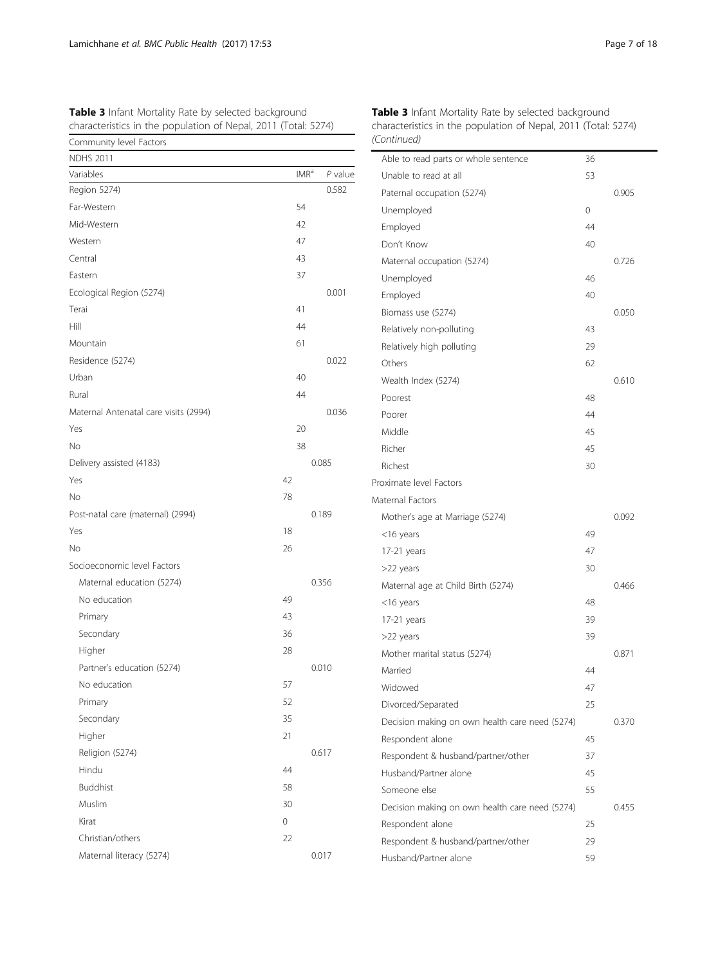| Community level Factors               |    |                  |           | (Continued)             |
|---------------------------------------|----|------------------|-----------|-------------------------|
| <b>NDHS 2011</b>                      |    |                  |           | Able to read parts or   |
| Variables                             |    | IMR <sup>a</sup> | $P$ value | Unable to read at all   |
| Region 5274)                          |    |                  | 0.582     | Paternal occupation (   |
| Far-Western                           | 54 |                  |           | Unemployed              |
| Mid-Western                           | 42 |                  |           | Employed                |
| Western                               | 47 |                  |           | Don't Know              |
| Central                               | 43 |                  |           | Maternal occupation     |
| Eastern                               | 37 |                  |           | Unemployed              |
| Ecological Region (5274)              |    |                  | 0.001     | Employed                |
| Terai                                 | 41 |                  |           | Biomass use (5274)      |
| Hill                                  | 44 |                  |           | Relatively non-pollutir |
| Mountain                              | 61 |                  |           | Relatively high polluti |
| Residence (5274)                      |    |                  | 0.022     | Others                  |
| Urban                                 | 40 |                  |           | Wealth Index (5274)     |
| Rural                                 | 44 |                  |           | Poorest                 |
| Maternal Antenatal care visits (2994) |    |                  | 0.036     | Poorer                  |
| Yes                                   | 20 |                  |           | Middle                  |
| No                                    | 38 |                  |           | Richer                  |
| Delivery assisted (4183)              |    |                  | 0.085     | Richest                 |
| Yes                                   | 42 |                  |           | Proximate level Factors |
| No                                    | 78 |                  |           | Maternal Factors        |
| Post-natal care (maternal) (2994)     |    |                  | 0.189     | Mother's age at Marri   |
| Yes                                   | 18 |                  |           | <16 years               |
| No                                    | 26 |                  |           | 17-21 years             |
| Socioeconomic level Factors           |    |                  |           | >22 years               |
| Maternal education (5274)             |    |                  | 0.356     | Maternal age at Child   |
| No education                          | 49 |                  |           | <16 years               |
| Primary                               | 43 |                  |           | 17-21 years             |
| Secondary                             | 36 |                  |           | >22 years               |
| Higher                                | 28 |                  |           | Mother marital status   |
| Partner's education (5274)            |    |                  | 0.010     | Married                 |
| No education                          | 57 |                  |           | Widowed                 |
| Primary                               | 52 |                  |           | Divorced/Separated      |
| Secondary                             | 35 |                  |           | Decision making on o    |
| Higher                                | 21 |                  |           | Respondent alone        |
| Religion (5274)                       |    |                  | 0.617     | Respondent & husbar     |
| Hindu                                 | 44 |                  |           | Husband/Partner alor    |
| <b>Buddhist</b>                       | 58 |                  |           | Someone else            |
| Muslim                                | 30 |                  |           | Decision making on o    |
| Kirat                                 | 0  |                  |           | Respondent alone        |
| Christian/others                      | 22 |                  |           | Respondent & husbar     |

Maternal literacy (5274) 0.017

<span id="page-6-0"></span>Table 3 Infant Mortality Rate by selected background characteristics in the population of Nepal, 2011 (Total: 5274)

Table 3 Infant Mortality Rate by selected background characteristics in the population of Nepal, 2011 (Total: 5274) (Continued)

| Able to read parts or whole sentence           | 36 |       |
|------------------------------------------------|----|-------|
| Unable to read at all                          | 53 |       |
| Paternal occupation (5274)                     |    | 0.905 |
| Unemployed                                     | 0  |       |
| Employed                                       | 44 |       |
| Don't Know                                     | 40 |       |
| Maternal occupation (5274)                     |    | 0.726 |
| Unemployed                                     | 46 |       |
| Employed                                       | 40 |       |
| Biomass use (5274)                             |    | 0.050 |
| Relatively non-polluting                       | 43 |       |
| Relatively high polluting                      | 29 |       |
| Others                                         | 62 |       |
| Wealth Index (5274)                            |    | 0.610 |
| Poorest                                        | 48 |       |
| Poorer                                         | 44 |       |
| Middle                                         | 45 |       |
| Richer                                         | 45 |       |
| Richest                                        | 30 |       |
| Proximate level Factors                        |    |       |
| Maternal Factors                               |    |       |
| Mother's age at Marriage (5274)                |    | 0.092 |
| <16 years                                      | 49 |       |
| 17-21 years                                    | 47 |       |
| >22 years                                      | 30 |       |
| Maternal age at Child Birth (5274)             |    | 0.466 |
| <16 years                                      | 48 |       |
| 17-21 years                                    | 39 |       |
| >22 years                                      | 39 |       |
| Mother marital status (5274)                   |    | 0.871 |
| Married                                        | 44 |       |
| Widowed                                        | 47 |       |
| Divorced/Separated                             | 25 |       |
| Decision making on own health care need (5274) |    | 0.370 |
| Respondent alone                               | 45 |       |
| Respondent & husband/partner/other             | 37 |       |
| Husband/Partner alone                          | 45 |       |
| Someone else                                   | 55 |       |
| Decision making on own health care need (5274) |    | 0.455 |
| Respondent alone                               | 25 |       |
| Respondent & husband/partner/other             | 29 |       |
| Husband/Partner alone                          | 59 |       |
|                                                |    |       |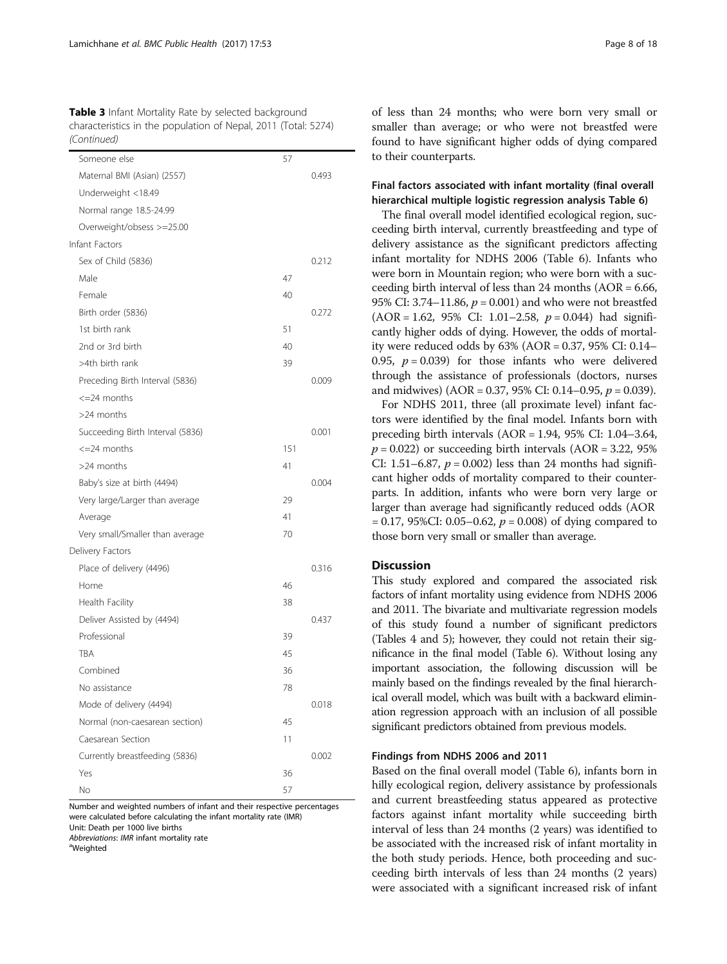Table 3 Infant Mortality Rate by selected background characteristics in the population of Nepal, 2011 (Total: 5274) (Continued)

| Someone else                     | 57  |       |
|----------------------------------|-----|-------|
| Maternal BMI (Asian) (2557)      |     | 0.493 |
| Underweight <18.49               |     |       |
| Normal range 18.5-24.99          |     |       |
| Overweight/obsess >=25.00        |     |       |
| Infant Factors                   |     |       |
| Sex of Child (5836)              |     | 0.212 |
| Male                             | 47  |       |
| Female                           | 40  |       |
| Birth order (5836)               |     | 0.272 |
| 1st birth rank                   | 51  |       |
| 2nd or 3rd birth                 | 40  |       |
| >4th birth rank                  | 39  |       |
| Preceding Birth Interval (5836)  |     | 0.009 |
| $\epsilon = 24$ months           |     |       |
| $>$ 24 months                    |     |       |
| Succeeding Birth Interval (5836) |     | 0.001 |
| <=24 months                      | 151 |       |
| $>$ 24 months                    | 41  |       |
| Baby's size at birth (4494)      |     | 0.004 |
| Very large/Larger than average   | 29  |       |
| Average                          | 41  |       |
| Very small/Smaller than average  | 70  |       |
| Delivery Factors                 |     |       |
| Place of delivery (4496)         |     | 0.316 |
| Home                             | 46  |       |
| Health Facility                  | 38  |       |
| Deliver Assisted by (4494)       |     | 0.437 |
| Professional                     | 39  |       |
| TBA                              | 45  |       |
| Combined                         | 36  |       |
| No assistance                    | 78  |       |
| Mode of delivery (4494)          |     | 0.018 |
| Normal (non-caesarean section)   | 45  |       |
| Caesarean Section                | 11  |       |
| Currently breastfeeding (5836)   |     | 0.002 |
| Yes                              | 36  |       |
| No                               | 57  |       |

Number and weighted numbers of infant and their respective percentages were calculated before calculating the infant mortality rate (IMR) Unit: Death per 1000 live births

Abbreviations: IMR infant mortality rate

<sup>a</sup>Weighted

of less than 24 months; who were born very small or smaller than average; or who were not breastfed were found to have significant higher odds of dying compared to their counterparts.

### Final factors associated with infant mortality (final overall hierarchical multiple logistic regression analysis Table [6](#page-13-0))

The final overall model identified ecological region, succeeding birth interval, currently breastfeeding and type of delivery assistance as the significant predictors affecting infant mortality for NDHS 2006 (Table [6](#page-13-0)). Infants who were born in Mountain region; who were born with a succeeding birth interval of less than 24 months (AOR = 6.66, 95% CI: 3.74–11.86,  $p = 0.001$ ) and who were not breastfed  $(AOR = 1.62, 95\% \text{ CI: } 1.01 - 2.58, p = 0.044)$  had significantly higher odds of dying. However, the odds of mortality were reduced odds by 63% (AOR = 0.37, 95% CI: 0.14– 0.95,  $p = 0.039$ ) for those infants who were delivered through the assistance of professionals (doctors, nurses and midwives) (AOR = 0.37, 95% CI: 0.14–0.95,  $p = 0.039$ ).

For NDHS 2011, three (all proximate level) infant factors were identified by the final model. Infants born with preceding birth intervals (AOR = 1.94, 95% CI: 1.04–3.64,  $p = 0.022$ ) or succeeding birth intervals (AOR = 3.22, 95% CI: 1.51–6.87,  $p = 0.002$ ) less than 24 months had significant higher odds of mortality compared to their counterparts. In addition, infants who were born very large or larger than average had significantly reduced odds (AOR  $= 0.17, 95\%$ CI: 0.05–0.62,  $p = 0.008$ ) of dying compared to those born very small or smaller than average.

#### **Discussion**

This study explored and compared the associated risk factors of infant mortality using evidence from NDHS 2006 and 2011. The bivariate and multivariate regression models of this study found a number of significant predictors (Tables [4](#page-8-0) and [5\)](#page-11-0); however, they could not retain their significance in the final model (Table [6](#page-13-0)). Without losing any important association, the following discussion will be mainly based on the findings revealed by the final hierarchical overall model, which was built with a backward elimination regression approach with an inclusion of all possible significant predictors obtained from previous models.

### Findings from NDHS 2006 and 2011

Based on the final overall model (Table [6\)](#page-13-0), infants born in hilly ecological region, delivery assistance by professionals and current breastfeeding status appeared as protective factors against infant mortality while succeeding birth interval of less than 24 months (2 years) was identified to be associated with the increased risk of infant mortality in the both study periods. Hence, both proceeding and succeeding birth intervals of less than 24 months (2 years) were associated with a significant increased risk of infant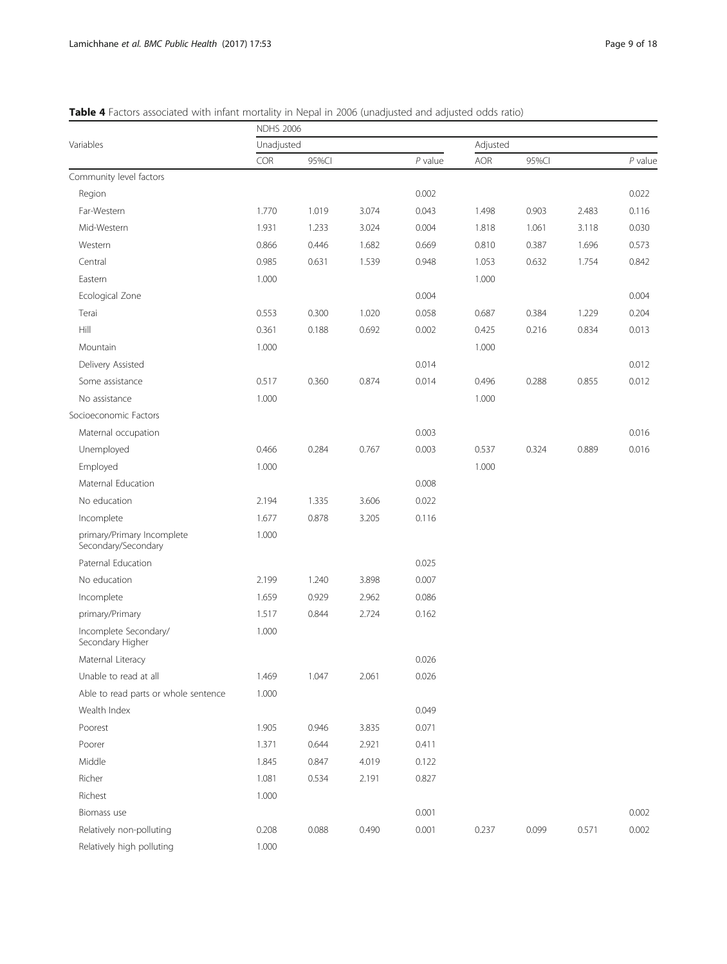<span id="page-8-0"></span>Table 4 Factors associated with infant mortality in Nepal in 2006 (unadjusted and adjusted odds ratio)

|                                                   | <b>NDHS 2006</b> |       |       |           |            |       |       |           |  |
|---------------------------------------------------|------------------|-------|-------|-----------|------------|-------|-------|-----------|--|
| Variables                                         | Unadjusted       |       |       |           | Adjusted   |       |       |           |  |
|                                                   | COR              | 95%Cl |       | $P$ value | <b>AOR</b> | 95%Cl |       | $P$ value |  |
| Community level factors                           |                  |       |       |           |            |       |       |           |  |
| Region                                            |                  |       |       | 0.002     |            |       |       | 0.022     |  |
| Far-Western                                       | 1.770            | 1.019 | 3.074 | 0.043     | 1.498      | 0.903 | 2.483 | 0.116     |  |
| Mid-Western                                       | 1.931            | 1.233 | 3.024 | 0.004     | 1.818      | 1.061 | 3.118 | 0.030     |  |
| Western                                           | 0.866            | 0.446 | 1.682 | 0.669     | 0.810      | 0.387 | 1.696 | 0.573     |  |
| Central                                           | 0.985            | 0.631 | 1.539 | 0.948     | 1.053      | 0.632 | 1.754 | 0.842     |  |
| Eastern                                           | 1.000            |       |       |           | 1.000      |       |       |           |  |
| Ecological Zone                                   |                  |       |       | 0.004     |            |       |       | 0.004     |  |
| Terai                                             | 0.553            | 0.300 | 1.020 | 0.058     | 0.687      | 0.384 | 1.229 | 0.204     |  |
| Hill                                              | 0.361            | 0.188 | 0.692 | 0.002     | 0.425      | 0.216 | 0.834 | 0.013     |  |
| Mountain                                          | 1.000            |       |       |           | 1.000      |       |       |           |  |
| Delivery Assisted                                 |                  |       |       | 0.014     |            |       |       | 0.012     |  |
| Some assistance                                   | 0.517            | 0.360 | 0.874 | 0.014     | 0.496      | 0.288 | 0.855 | 0.012     |  |
| No assistance                                     | 1.000            |       |       |           | 1.000      |       |       |           |  |
| Socioeconomic Factors                             |                  |       |       |           |            |       |       |           |  |
| Maternal occupation                               |                  |       |       | 0.003     |            |       |       | 0.016     |  |
| Unemployed                                        | 0.466            | 0.284 | 0.767 | 0.003     | 0.537      | 0.324 | 0.889 | 0.016     |  |
| Employed                                          | 1.000            |       |       |           | 1.000      |       |       |           |  |
| Maternal Education                                |                  |       |       | 0.008     |            |       |       |           |  |
| No education                                      | 2.194            | 1.335 | 3.606 | 0.022     |            |       |       |           |  |
| Incomplete                                        | 1.677            | 0.878 | 3.205 | 0.116     |            |       |       |           |  |
| primary/Primary Incomplete<br>Secondary/Secondary | 1.000            |       |       |           |            |       |       |           |  |
| Paternal Education                                |                  |       |       | 0.025     |            |       |       |           |  |
| No education                                      | 2.199            | 1.240 | 3.898 | 0.007     |            |       |       |           |  |
| Incomplete                                        | 1.659            | 0.929 | 2.962 | 0.086     |            |       |       |           |  |
| primary/Primary                                   | 1.517            | 0.844 | 2.724 | 0.162     |            |       |       |           |  |
| Incomplete Secondary/<br>Secondary Higher         | 1.000            |       |       |           |            |       |       |           |  |
| Maternal Literacy                                 |                  |       |       | 0.026     |            |       |       |           |  |
| Unable to read at all                             | 1.469            | 1.047 | 2.061 | 0.026     |            |       |       |           |  |
| Able to read parts or whole sentence              | 1.000            |       |       |           |            |       |       |           |  |
| Wealth Index                                      |                  |       |       | 0.049     |            |       |       |           |  |
| Poorest                                           | 1.905            | 0.946 | 3.835 | 0.071     |            |       |       |           |  |
| Poorer                                            | 1.371            | 0.644 | 2.921 | 0.411     |            |       |       |           |  |
| Middle                                            | 1.845            | 0.847 | 4.019 | 0.122     |            |       |       |           |  |
| Richer                                            | 1.081            | 0.534 | 2.191 | 0.827     |            |       |       |           |  |
| Richest                                           | 1.000            |       |       |           |            |       |       |           |  |
| Biomass use                                       |                  |       |       | 0.001     |            |       |       | 0.002     |  |
| Relatively non-polluting                          | 0.208            | 0.088 | 0.490 | 0.001     | 0.237      | 0.099 | 0.571 | 0.002     |  |
| Relatively high polluting                         | 1.000            |       |       |           |            |       |       |           |  |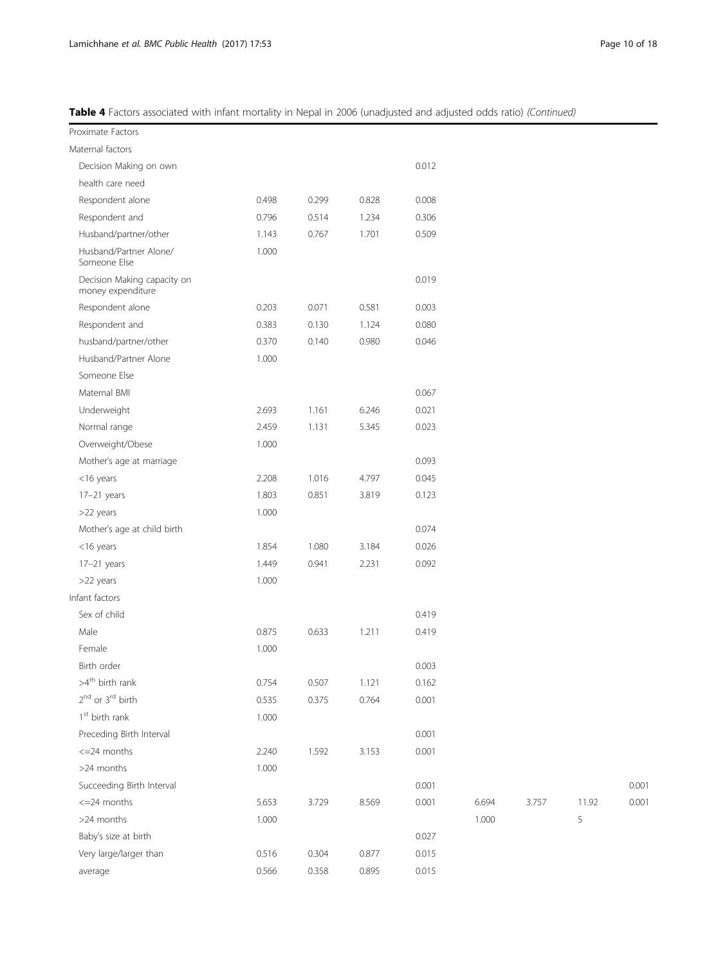Table 4 Factors associated with infant mortality in Nepal in 2006 (unadjusted and adjusted odds ratio) (Continued)

| Proximate Factors                                |       |       |       |       |       |       |       |       |
|--------------------------------------------------|-------|-------|-------|-------|-------|-------|-------|-------|
| Maternal factors                                 |       |       |       |       |       |       |       |       |
| Decision Making on own                           |       |       |       | 0.012 |       |       |       |       |
| health care need                                 |       |       |       |       |       |       |       |       |
| Respondent alone                                 | 0.498 | 0.299 | 0.828 | 0.008 |       |       |       |       |
| Respondent and                                   | 0.796 | 0.514 | 1.234 | 0.306 |       |       |       |       |
| Husband/partner/other                            | 1.143 | 0.767 | 1.701 | 0.509 |       |       |       |       |
| Husband/Partner Alone/<br>Someone Else           | 1.000 |       |       |       |       |       |       |       |
| Decision Making capacity on<br>money expenditure |       |       |       | 0.019 |       |       |       |       |
| Respondent alone                                 | 0.203 | 0.071 | 0.581 | 0.003 |       |       |       |       |
| Respondent and                                   | 0.383 | 0.130 | 1.124 | 0.080 |       |       |       |       |
| husband/partner/other                            | 0.370 | 0.140 | 0.980 | 0.046 |       |       |       |       |
| Husband/Partner Alone                            | 1.000 |       |       |       |       |       |       |       |
| Someone Else                                     |       |       |       |       |       |       |       |       |
| Maternal BMI                                     |       |       |       | 0.067 |       |       |       |       |
| Underweight                                      | 2.693 | 1.161 | 6.246 | 0.021 |       |       |       |       |
| Normal range                                     | 2.459 | 1.131 | 5.345 | 0.023 |       |       |       |       |
| Overweight/Obese                                 | 1.000 |       |       |       |       |       |       |       |
| Mother's age at marriage                         |       |       |       | 0.093 |       |       |       |       |
| $<$ 16 years                                     | 2.208 | 1.016 | 4.797 | 0.045 |       |       |       |       |
| $17-21$ years                                    | 1.803 | 0.851 | 3.819 | 0.123 |       |       |       |       |
| >22 years                                        | 1.000 |       |       |       |       |       |       |       |
| Mother's age at child birth                      |       |       |       | 0.074 |       |       |       |       |
| $<$ 16 years                                     | 1.854 | 1.080 | 3.184 | 0.026 |       |       |       |       |
| 17-21 years                                      | 1.449 | 0.941 | 2.231 | 0.092 |       |       |       |       |
| >22 years                                        | 1.000 |       |       |       |       |       |       |       |
| Infant factors                                   |       |       |       |       |       |       |       |       |
| Sex of child                                     |       |       |       | 0.419 |       |       |       |       |
| Male                                             | 0.875 | 0.633 | 1.211 | 0.419 |       |       |       |       |
| Female                                           | 1.000 |       |       |       |       |       |       |       |
| Birth order                                      |       |       |       | 0.003 |       |       |       |       |
| $>4^{\text{th}}$ birth rank                      | 0.754 | 0.507 | 1.121 | 0.162 |       |       |       |       |
| 2 <sup>nd</sup> or 3 <sup>rd</sup> birth         | 0.535 | 0.375 | 0.764 | 0.001 |       |       |       |       |
| 1 <sup>st</sup> birth rank                       | 1.000 |       |       |       |       |       |       |       |
| Preceding Birth Interval                         |       |       |       | 0.001 |       |       |       |       |
| $\leq$ =24 months                                | 2.240 | 1.592 | 3.153 | 0.001 |       |       |       |       |
| >24 months                                       | 1.000 |       |       |       |       |       |       |       |
| Succeeding Birth Interval                        |       |       |       | 0.001 |       |       |       | 0.001 |
| $\epsilon$ =24 months                            | 5.653 | 3.729 | 8.569 | 0.001 | 6.694 | 3.757 | 11.92 | 0.001 |
| >24 months                                       | 1.000 |       |       |       | 1.000 |       | 5     |       |
| Baby's size at birth                             |       |       |       | 0.027 |       |       |       |       |
| Very large/larger than                           | 0.516 | 0.304 | 0.877 | 0.015 |       |       |       |       |
| average                                          | 0.566 | 0.358 | 0.895 | 0.015 |       |       |       |       |
|                                                  |       |       |       |       |       |       |       |       |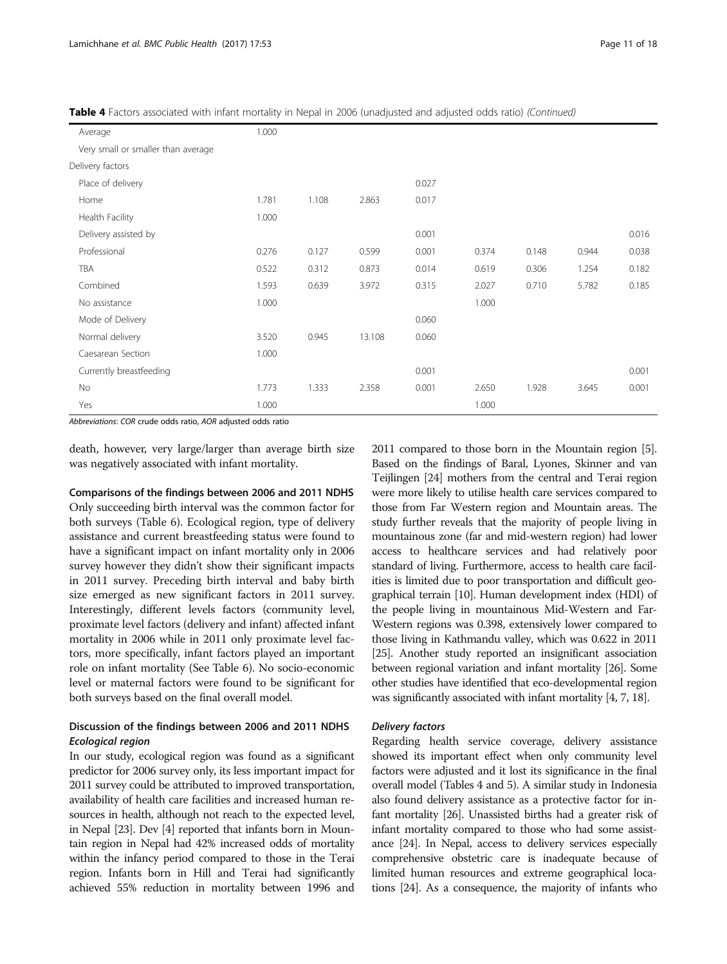|  |  | Table 4 Factors associated with infant mortality in Nepal in 2006 (unadjusted and adjusted odds ratio) (Continued) |  |
|--|--|--------------------------------------------------------------------------------------------------------------------|--|
|  |  |                                                                                                                    |  |

| Average                            | 1.000 |       |        |       |       |       |       |       |
|------------------------------------|-------|-------|--------|-------|-------|-------|-------|-------|
| Very small or smaller than average |       |       |        |       |       |       |       |       |
| Delivery factors                   |       |       |        |       |       |       |       |       |
| Place of delivery                  |       |       |        | 0.027 |       |       |       |       |
| Home                               | 1.781 | 1.108 | 2.863  | 0.017 |       |       |       |       |
| Health Facility                    | 1.000 |       |        |       |       |       |       |       |
| Delivery assisted by               |       |       |        | 0.001 |       |       |       | 0.016 |
| Professional                       | 0.276 | 0.127 | 0.599  | 0.001 | 0.374 | 0.148 | 0.944 | 0.038 |
| TBA                                | 0.522 | 0.312 | 0.873  | 0.014 | 0.619 | 0.306 | 1.254 | 0.182 |
| Combined                           | 1.593 | 0.639 | 3.972  | 0.315 | 2.027 | 0.710 | 5.782 | 0.185 |
| No assistance                      | 1.000 |       |        |       | 1.000 |       |       |       |
| Mode of Delivery                   |       |       |        | 0.060 |       |       |       |       |
| Normal delivery                    | 3.520 | 0.945 | 13.108 | 0.060 |       |       |       |       |
| Caesarean Section                  | 1.000 |       |        |       |       |       |       |       |
| Currently breastfeeding            |       |       |        | 0.001 |       |       |       | 0.001 |
| No                                 | 1.773 | 1.333 | 2.358  | 0.001 | 2.650 | 1.928 | 3.645 | 0.001 |
| Yes                                | 1.000 |       |        |       | 1.000 |       |       |       |

Abbreviations: COR crude odds ratio, AOR adjusted odds ratio

death, however, very large/larger than average birth size was negatively associated with infant mortality.

#### Comparisons of the findings between 2006 and 2011 NDHS

Only succeeding birth interval was the common factor for both surveys (Table [6\)](#page-13-0). Ecological region, type of delivery assistance and current breastfeeding status were found to have a significant impact on infant mortality only in 2006 survey however they didn't show their significant impacts in 2011 survey. Preceding birth interval and baby birth size emerged as new significant factors in 2011 survey. Interestingly, different levels factors (community level, proximate level factors (delivery and infant) affected infant mortality in 2006 while in 2011 only proximate level factors, more specifically, infant factors played an important role on infant mortality (See Table [6\)](#page-13-0). No socio-economic level or maternal factors were found to be significant for both surveys based on the final overall model.

# Discussion of the findings between 2006 and 2011 NDHS

Ecological region In our study, ecological region was found as a significant predictor for 2006 survey only, its less important impact for 2011 survey could be attributed to improved transportation, availability of health care facilities and increased human resources in health, although not reach to the expected level, in Nepal [\[23\]](#page-17-0). Dev [[4](#page-16-0)] reported that infants born in Mountain region in Nepal had 42% increased odds of mortality within the infancy period compared to those in the Terai region. Infants born in Hill and Terai had significantly achieved 55% reduction in mortality between 1996 and

2011 compared to those born in the Mountain region [[5](#page-16-0)]. Based on the findings of Baral, Lyones, Skinner and van Teijlingen [\[24\]](#page-17-0) mothers from the central and Terai region were more likely to utilise health care services compared to those from Far Western region and Mountain areas. The study further reveals that the majority of people living in mountainous zone (far and mid-western region) had lower access to healthcare services and had relatively poor standard of living. Furthermore, access to health care facilities is limited due to poor transportation and difficult geographical terrain [\[10\]](#page-16-0). Human development index (HDI) of the people living in mountainous Mid-Western and Far-Western regions was 0.398, extensively lower compared to those living in Kathmandu valley, which was 0.622 in 2011 [[25](#page-17-0)]. Another study reported an insignificant association between regional variation and infant mortality [[26](#page-17-0)]. Some other studies have identified that eco-developmental region was significantly associated with infant mortality [\[4, 7](#page-16-0), [18](#page-17-0)].

Regarding health service coverage, delivery assistance showed its important effect when only community level factors were adjusted and it lost its significance in the final overall model (Tables [4](#page-8-0) and [5](#page-11-0)). A similar study in Indonesia also found delivery assistance as a protective factor for infant mortality [\[26](#page-17-0)]. Unassisted births had a greater risk of infant mortality compared to those who had some assistance [\[24](#page-17-0)]. In Nepal, access to delivery services especially comprehensive obstetric care is inadequate because of limited human resources and extreme geographical locations [[24](#page-17-0)]. As a consequence, the majority of infants who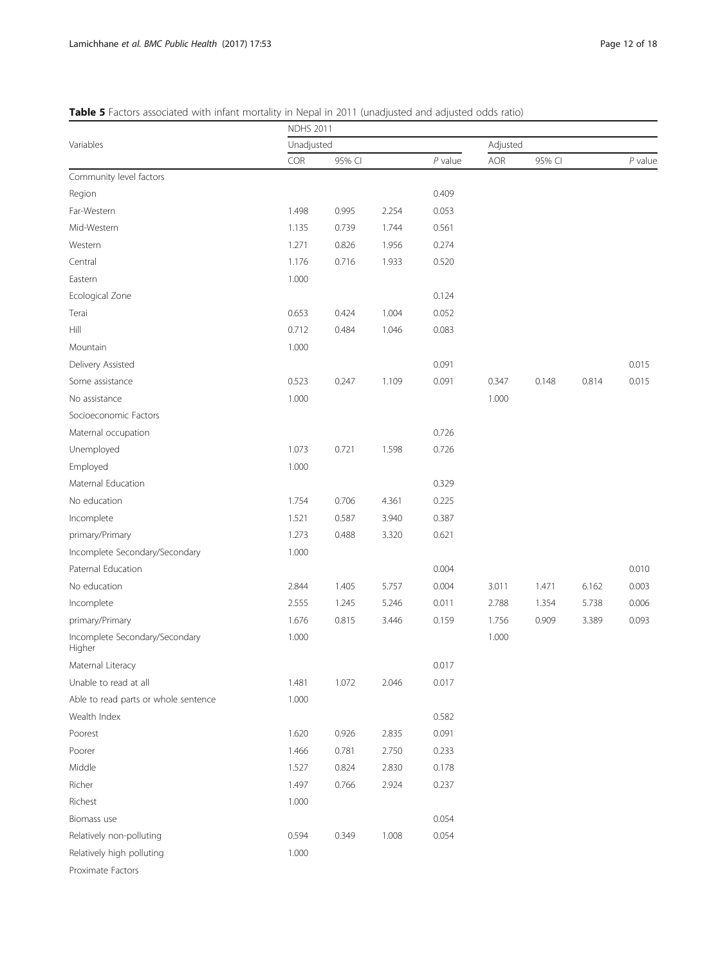# <span id="page-11-0"></span>Table 5 Factors associated with infant mortality in Nepal in 2011 (unadjusted and adjusted odds ratio)

|                                          | able J Factors associated with miant mortality in repairing to it (unadjusted and adjusted odds ratio)<br><b>NDHS 2011</b> |        |       |           |       |          |       |           |  |  |
|------------------------------------------|----------------------------------------------------------------------------------------------------------------------------|--------|-------|-----------|-------|----------|-------|-----------|--|--|
| Variables                                | Unadjusted                                                                                                                 |        |       |           |       | Adjusted |       |           |  |  |
|                                          | COR                                                                                                                        | 95% CI |       | $P$ value | AOR   | 95% CI   |       | $P$ value |  |  |
| Community level factors                  |                                                                                                                            |        |       |           |       |          |       |           |  |  |
| Region                                   |                                                                                                                            |        |       | 0.409     |       |          |       |           |  |  |
| Far-Western                              | 1.498                                                                                                                      | 0.995  | 2.254 | 0.053     |       |          |       |           |  |  |
| Mid-Western                              | 1.135                                                                                                                      | 0.739  | 1.744 | 0.561     |       |          |       |           |  |  |
| Western                                  | 1.271                                                                                                                      | 0.826  | 1.956 | 0.274     |       |          |       |           |  |  |
| Central                                  | 1.176                                                                                                                      | 0.716  | 1.933 | 0.520     |       |          |       |           |  |  |
| Eastern                                  | 1.000                                                                                                                      |        |       |           |       |          |       |           |  |  |
| Ecological Zone                          |                                                                                                                            |        |       | 0.124     |       |          |       |           |  |  |
| Terai                                    | 0.653                                                                                                                      | 0.424  | 1.004 | 0.052     |       |          |       |           |  |  |
| Hill                                     | 0.712                                                                                                                      | 0.484  | 1.046 | 0.083     |       |          |       |           |  |  |
| Mountain                                 | 1.000                                                                                                                      |        |       |           |       |          |       |           |  |  |
| Delivery Assisted                        |                                                                                                                            |        |       | 0.091     |       |          |       | 0.015     |  |  |
| Some assistance                          | 0.523                                                                                                                      | 0.247  | 1.109 | 0.091     | 0.347 | 0.148    | 0.814 | 0.015     |  |  |
| No assistance                            | 1.000                                                                                                                      |        |       |           | 1.000 |          |       |           |  |  |
| Socioeconomic Factors                    |                                                                                                                            |        |       |           |       |          |       |           |  |  |
| Maternal occupation                      |                                                                                                                            |        |       | 0.726     |       |          |       |           |  |  |
| Unemployed                               | 1.073                                                                                                                      | 0.721  | 1.598 | 0.726     |       |          |       |           |  |  |
| Employed                                 | 1.000                                                                                                                      |        |       |           |       |          |       |           |  |  |
| Maternal Education                       |                                                                                                                            |        |       | 0.329     |       |          |       |           |  |  |
| No education                             | 1.754                                                                                                                      | 0.706  | 4.361 | 0.225     |       |          |       |           |  |  |
| Incomplete                               | 1.521                                                                                                                      | 0.587  | 3.940 | 0.387     |       |          |       |           |  |  |
| primary/Primary                          | 1.273                                                                                                                      | 0.488  | 3.320 | 0.621     |       |          |       |           |  |  |
| Incomplete Secondary/Secondary           | 1.000                                                                                                                      |        |       |           |       |          |       |           |  |  |
| Paternal Education                       |                                                                                                                            |        |       | 0.004     |       |          |       | 0.010     |  |  |
| No education                             | 2.844                                                                                                                      | 1.405  | 5.757 | 0.004     | 3.011 | 1.471    | 6.162 | 0.003     |  |  |
| Incomplete                               | 2.555                                                                                                                      | 1.245  | 5.246 | 0.011     | 2.788 | 1.354    | 5.738 | 0.006     |  |  |
| primary/Primary                          | 1.676                                                                                                                      | 0.815  | 3.446 | 0.159     | 1.756 | 0.909    | 3.389 | 0.093     |  |  |
| Incomplete Secondary/Secondary<br>Higher | 1.000                                                                                                                      |        |       |           | 1.000 |          |       |           |  |  |
| Maternal Literacy                        |                                                                                                                            |        |       | 0.017     |       |          |       |           |  |  |
| Unable to read at all                    | 1.481                                                                                                                      | 1.072  | 2.046 | 0.017     |       |          |       |           |  |  |
| Able to read parts or whole sentence     | 1.000                                                                                                                      |        |       |           |       |          |       |           |  |  |
| Wealth Index                             |                                                                                                                            |        |       | 0.582     |       |          |       |           |  |  |
| Poorest                                  | 1.620                                                                                                                      | 0.926  | 2.835 | 0.091     |       |          |       |           |  |  |
| Poorer                                   | 1.466                                                                                                                      | 0.781  | 2.750 | 0.233     |       |          |       |           |  |  |
| Middle                                   | 1.527                                                                                                                      | 0.824  | 2.830 | 0.178     |       |          |       |           |  |  |
| Richer                                   | 1.497                                                                                                                      | 0.766  | 2.924 | 0.237     |       |          |       |           |  |  |
| Richest                                  | 1.000                                                                                                                      |        |       |           |       |          |       |           |  |  |
| Biomass use                              |                                                                                                                            |        |       | 0.054     |       |          |       |           |  |  |
| Relatively non-polluting                 | 0.594                                                                                                                      | 0.349  | 1.008 | 0.054     |       |          |       |           |  |  |
| Relatively high polluting                | 1.000                                                                                                                      |        |       |           |       |          |       |           |  |  |
| Proximate Factors                        |                                                                                                                            |        |       |           |       |          |       |           |  |  |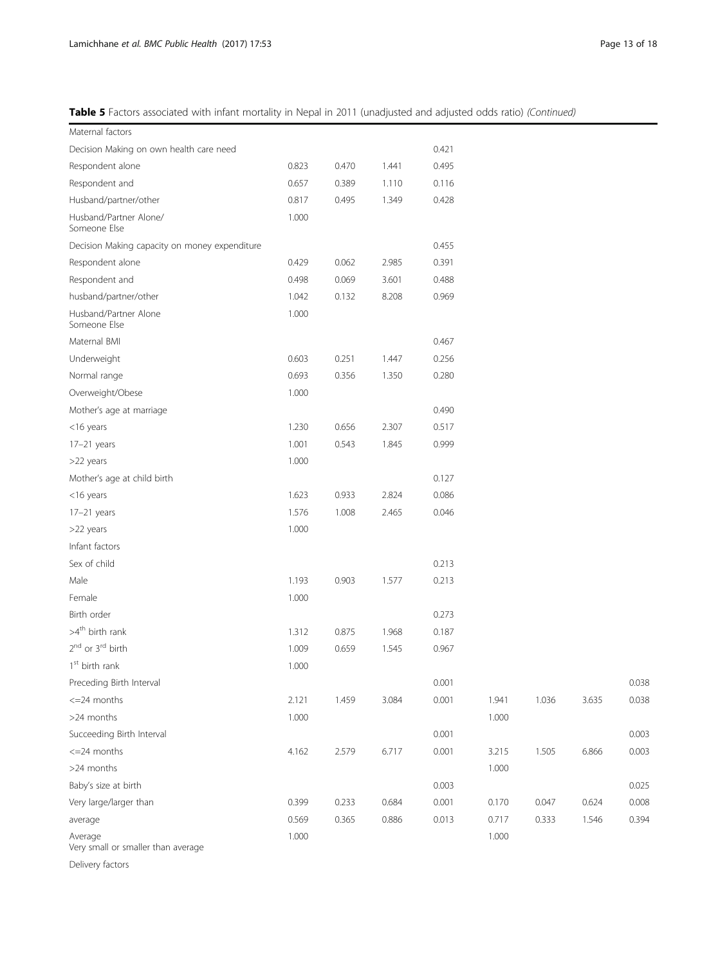Table 5 Factors associated with infant mortality in Nepal in 2011 (unadjusted and adjusted odds ratio) (Continued)

| Maternal factors                              |       |       |       |       |       |       |       |       |
|-----------------------------------------------|-------|-------|-------|-------|-------|-------|-------|-------|
| Decision Making on own health care need       |       |       |       | 0.421 |       |       |       |       |
| Respondent alone                              | 0.823 | 0.470 | 1.441 | 0.495 |       |       |       |       |
| Respondent and                                | 0.657 | 0.389 | 1.110 | 0.116 |       |       |       |       |
| Husband/partner/other                         | 0.817 | 0.495 | 1.349 | 0.428 |       |       |       |       |
| Husband/Partner Alone/<br>Someone Else        | 1.000 |       |       |       |       |       |       |       |
| Decision Making capacity on money expenditure |       |       |       | 0.455 |       |       |       |       |
| Respondent alone                              | 0.429 | 0.062 | 2.985 | 0.391 |       |       |       |       |
| Respondent and                                | 0.498 | 0.069 | 3.601 | 0.488 |       |       |       |       |
| husband/partner/other                         | 1.042 | 0.132 | 8.208 | 0.969 |       |       |       |       |
| Husband/Partner Alone<br>Someone Else         | 1.000 |       |       |       |       |       |       |       |
| Maternal BMI                                  |       |       |       | 0.467 |       |       |       |       |
| Underweight                                   | 0.603 | 0.251 | 1.447 | 0.256 |       |       |       |       |
| Normal range                                  | 0.693 | 0.356 | 1.350 | 0.280 |       |       |       |       |
| Overweight/Obese                              | 1.000 |       |       |       |       |       |       |       |
| Mother's age at marriage                      |       |       |       | 0.490 |       |       |       |       |
| $<$ 16 years                                  | 1.230 | 0.656 | 2.307 | 0.517 |       |       |       |       |
| 17-21 years                                   | 1.001 | 0.543 | 1.845 | 0.999 |       |       |       |       |
| >22 years                                     | 1.000 |       |       |       |       |       |       |       |
| Mother's age at child birth                   |       |       |       | 0.127 |       |       |       |       |
| $<$ 16 years                                  | 1.623 | 0.933 | 2.824 | 0.086 |       |       |       |       |
| $17-21$ years                                 | 1.576 | 1.008 | 2.465 | 0.046 |       |       |       |       |
| >22 years                                     | 1.000 |       |       |       |       |       |       |       |
| Infant factors                                |       |       |       |       |       |       |       |       |
| Sex of child                                  |       |       |       | 0.213 |       |       |       |       |
| Male                                          | 1.193 | 0.903 | 1.577 | 0.213 |       |       |       |       |
| Female                                        | 1.000 |       |       |       |       |       |       |       |
| Birth order                                   |       |       |       | 0.273 |       |       |       |       |
| $>4^{\text{th}}$ birth rank                   | 1.312 | 0.875 | 1.968 | 0.187 |       |       |       |       |
| 2 <sup>nd</sup> or 3 <sup>rd</sup> birth      | 1.009 | 0.659 | 1.545 | 0.967 |       |       |       |       |
| $1st$ birth rank                              | 1.000 |       |       |       |       |       |       |       |
| Preceding Birth Interval                      |       |       |       | 0.001 |       |       |       | 0.038 |
| $\epsilon = 24$ months                        | 2.121 | 1.459 | 3.084 | 0.001 | 1.941 | 1.036 | 3.635 | 0.038 |
| >24 months                                    | 1.000 |       |       |       | 1.000 |       |       |       |
| Succeeding Birth Interval                     |       |       |       | 0.001 |       |       |       | 0.003 |
| $\epsilon = 24$ months                        | 4.162 | 2.579 | 6.717 | 0.001 | 3.215 | 1.505 | 6.866 | 0.003 |
| >24 months                                    |       |       |       |       | 1.000 |       |       |       |
| Baby's size at birth                          |       |       |       | 0.003 |       |       |       | 0.025 |
| Very large/larger than                        | 0.399 | 0.233 | 0.684 | 0.001 | 0.170 | 0.047 | 0.624 | 0.008 |
| average                                       | 0.569 | 0.365 | 0.886 | 0.013 | 0.717 | 0.333 | 1.546 | 0.394 |
| Average<br>Very small or smaller than average | 1.000 |       |       |       | 1.000 |       |       |       |
|                                               |       |       |       |       |       |       |       |       |

Delivery factors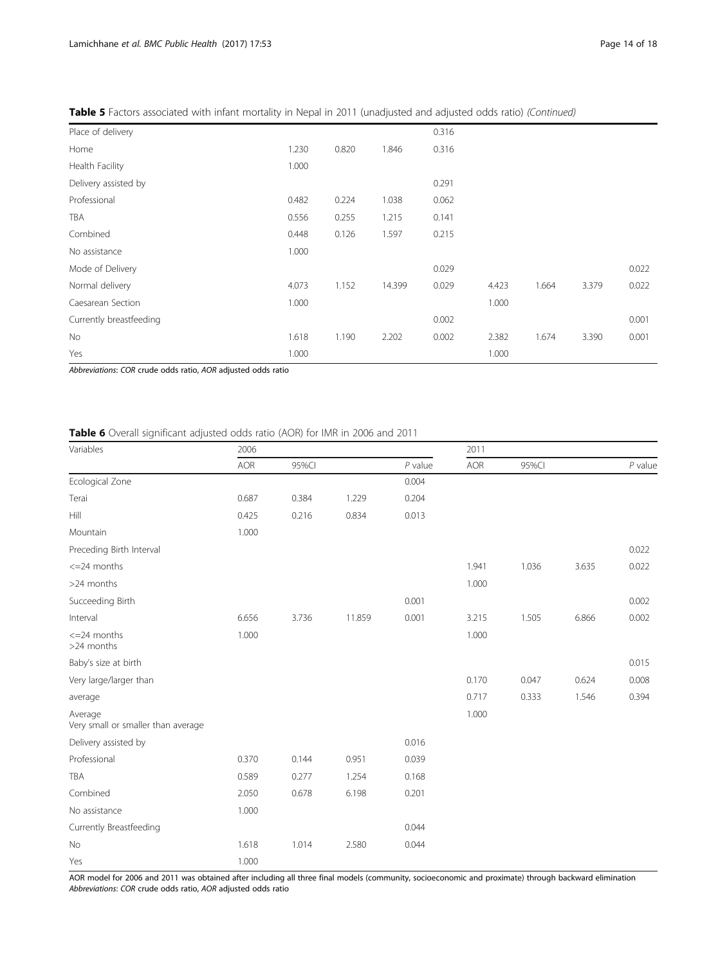| Place of delivery    |       |       |        | 0.316 |       |       |       |       |
|----------------------|-------|-------|--------|-------|-------|-------|-------|-------|
| Home                 | 1.230 | 0.820 | 1.846  | 0.316 |       |       |       |       |
| Health Facility      | 1.000 |       |        |       |       |       |       |       |
| Delivery assisted by |       |       |        | 0.291 |       |       |       |       |
| Professional         | 0.482 | 0.224 | 1.038  | 0.062 |       |       |       |       |
| TBA                  | 0.556 | 0.255 | 1.215  | 0.141 |       |       |       |       |
| Combined             | 0.448 | 0.126 | 1.597  | 0.215 |       |       |       |       |
| No assistance        | 1.000 |       |        |       |       |       |       |       |
| Mode of Delivery     |       |       |        | 0.029 |       |       |       | 0.022 |
| Normal delivery      | 4.073 | 1.152 | 14.399 | 0.029 | 4.423 | 1.664 | 3.379 | 0.022 |
|                      |       |       |        |       |       |       |       |       |

Currently breastfeeding 0.001 0.001 0.001 0.001 0.001 0.001 0.001 0.001 0.001 0.001 0.001 0.001 0.001 0.001 0.001 0.001 0.001 0.001 0.001 0.001 0.001 0.001 0.001 0.001 0.001 0.001 0.001 0.001 0.001 0.001 0.001 0.001 0.001 No 1.618 1.190 2.202 0.002 2.382 1.674 3.390 0.001

<span id="page-13-0"></span>Table 5 Factors associated with infant mortality in Nepal in 2011 (unadjusted and adjusted odds ratio) (Continued)

Caesarean Section 1.000 1.000

Yes 1.000 1.000

Abbreviations: COR crude odds ratio, AOR adjusted odds ratio

Table 6 Overall significant adjusted odds ratio (AOR) for IMR in 2006 and 2011

| Variables                                     | 2006  |       |        |           | 2011       |       |       |           |  |
|-----------------------------------------------|-------|-------|--------|-----------|------------|-------|-------|-----------|--|
|                                               | AOR   | 95%Cl |        | $P$ value | <b>AOR</b> | 95%Cl |       | $P$ value |  |
| Ecological Zone                               |       |       |        | 0.004     |            |       |       |           |  |
| Terai                                         | 0.687 | 0.384 | 1.229  | 0.204     |            |       |       |           |  |
| Hill                                          | 0.425 | 0.216 | 0.834  | 0.013     |            |       |       |           |  |
| Mountain                                      | 1.000 |       |        |           |            |       |       |           |  |
| Preceding Birth Interval                      |       |       |        |           |            |       |       | 0.022     |  |
| $\leq$ =24 months                             |       |       |        |           | 1.941      | 1.036 | 3.635 | 0.022     |  |
| >24 months                                    |       |       |        |           | 1.000      |       |       |           |  |
| Succeeding Birth                              |       |       |        | 0.001     |            |       |       | 0.002     |  |
| Interval                                      | 6.656 | 3.736 | 11.859 | 0.001     | 3.215      | 1.505 | 6.866 | 0.002     |  |
| $\leq$ =24 months<br>>24 months               | 1.000 |       |        |           | 1.000      |       |       |           |  |
| Baby's size at birth                          |       |       |        |           |            |       |       | 0.015     |  |
| Very large/larger than                        |       |       |        |           | 0.170      | 0.047 | 0.624 | 0.008     |  |
| average                                       |       |       |        |           | 0.717      | 0.333 | 1.546 | 0.394     |  |
| Average<br>Very small or smaller than average |       |       |        |           | 1.000      |       |       |           |  |
| Delivery assisted by                          |       |       |        | 0.016     |            |       |       |           |  |
| Professional                                  | 0.370 | 0.144 | 0.951  | 0.039     |            |       |       |           |  |
| TBA                                           | 0.589 | 0.277 | 1.254  | 0.168     |            |       |       |           |  |
| Combined                                      | 2.050 | 0.678 | 6.198  | 0.201     |            |       |       |           |  |
| No assistance                                 | 1.000 |       |        |           |            |       |       |           |  |
| Currently Breastfeeding                       |       |       |        | 0.044     |            |       |       |           |  |
| No                                            | 1.618 | 1.014 | 2.580  | 0.044     |            |       |       |           |  |
| Yes                                           | 1.000 |       |        |           |            |       |       |           |  |

AOR model for 2006 and 2011 was obtained after including all three final models (community, socioeconomic and proximate) through backward elimination Abbreviations: COR crude odds ratio, AOR adjusted odds ratio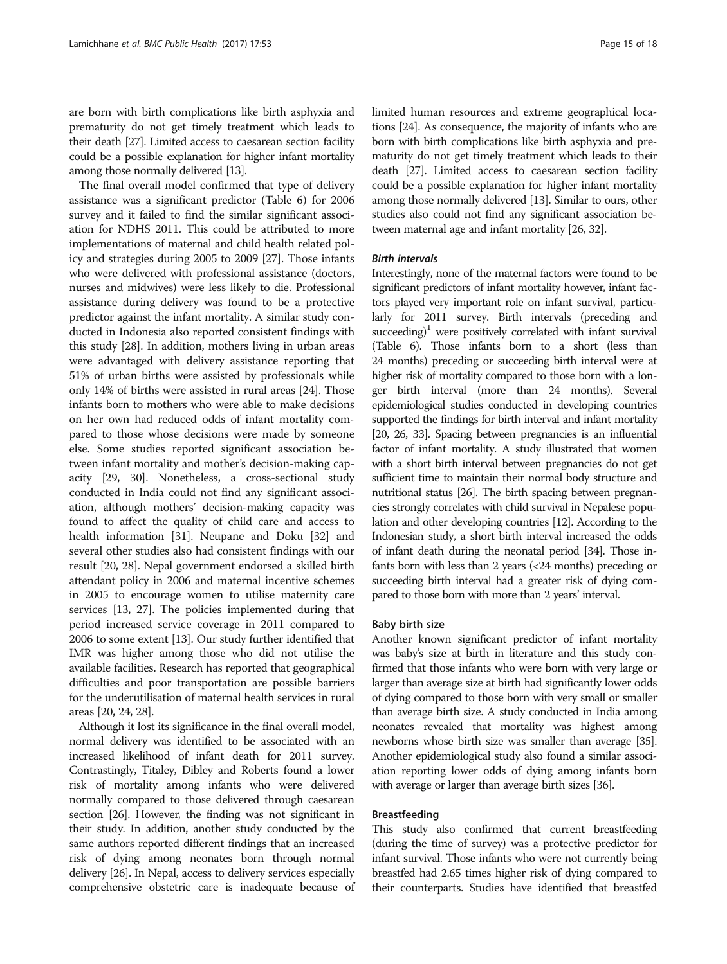are born with birth complications like birth asphyxia and prematurity do not get timely treatment which leads to their death [\[27\]](#page-17-0). Limited access to caesarean section facility could be a possible explanation for higher infant mortality among those normally delivered [\[13](#page-16-0)].

The final overall model confirmed that type of delivery assistance was a significant predictor (Table [6](#page-13-0)) for 2006 survey and it failed to find the similar significant association for NDHS 2011. This could be attributed to more implementations of maternal and child health related policy and strategies during 2005 to 2009 [[27](#page-17-0)]. Those infants who were delivered with professional assistance (doctors, nurses and midwives) were less likely to die. Professional assistance during delivery was found to be a protective predictor against the infant mortality. A similar study conducted in Indonesia also reported consistent findings with this study [\[28](#page-17-0)]. In addition, mothers living in urban areas were advantaged with delivery assistance reporting that 51% of urban births were assisted by professionals while only 14% of births were assisted in rural areas [\[24\]](#page-17-0). Those infants born to mothers who were able to make decisions on her own had reduced odds of infant mortality compared to those whose decisions were made by someone else. Some studies reported significant association between infant mortality and mother's decision-making capacity [[29](#page-17-0), [30](#page-17-0)]. Nonetheless, a cross-sectional study conducted in India could not find any significant association, although mothers' decision-making capacity was found to affect the quality of child care and access to health information [\[31](#page-17-0)]. Neupane and Doku [\[32\]](#page-17-0) and several other studies also had consistent findings with our result [\[20, 28\]](#page-17-0). Nepal government endorsed a skilled birth attendant policy in 2006 and maternal incentive schemes in 2005 to encourage women to utilise maternity care services [[13](#page-16-0), [27](#page-17-0)]. The policies implemented during that period increased service coverage in 2011 compared to 2006 to some extent [[13](#page-16-0)]. Our study further identified that IMR was higher among those who did not utilise the available facilities. Research has reported that geographical difficulties and poor transportation are possible barriers for the underutilisation of maternal health services in rural areas [[20](#page-17-0), [24, 28](#page-17-0)].

Although it lost its significance in the final overall model, normal delivery was identified to be associated with an increased likelihood of infant death for 2011 survey. Contrastingly, Titaley, Dibley and Roberts found a lower risk of mortality among infants who were delivered normally compared to those delivered through caesarean section [\[26\]](#page-17-0). However, the finding was not significant in their study. In addition, another study conducted by the same authors reported different findings that an increased risk of dying among neonates born through normal delivery [\[26](#page-17-0)]. In Nepal, access to delivery services especially comprehensive obstetric care is inadequate because of limited human resources and extreme geographical locations [[24](#page-17-0)]. As consequence, the majority of infants who are born with birth complications like birth asphyxia and prematurity do not get timely treatment which leads to their death [\[27\]](#page-17-0). Limited access to caesarean section facility could be a possible explanation for higher infant mortality among those normally delivered [\[13\]](#page-16-0). Similar to ours, other studies also could not find any significant association between maternal age and infant mortality [[26](#page-17-0), [32](#page-17-0)].

#### **Rirth intervals**

Interestingly, none of the maternal factors were found to be significant predictors of infant mortality however, infant factors played very important role on infant survival, particularly for 2011 survey. Birth intervals (preceding and succeeding)<sup>1</sup> were positively correlated with infant survival (Table [6\)](#page-13-0). Those infants born to a short (less than 24 months) preceding or succeeding birth interval were at higher risk of mortality compared to those born with a longer birth interval (more than 24 months). Several epidemiological studies conducted in developing countries supported the findings for birth interval and infant mortality [[20, 26](#page-17-0), [33\]](#page-17-0). Spacing between pregnancies is an influential factor of infant mortality. A study illustrated that women with a short birth interval between pregnancies do not get sufficient time to maintain their normal body structure and nutritional status [\[26\]](#page-17-0). The birth spacing between pregnancies strongly correlates with child survival in Nepalese population and other developing countries [[12\]](#page-16-0). According to the Indonesian study, a short birth interval increased the odds of infant death during the neonatal period [[34\]](#page-17-0). Those infants born with less than 2 years (<24 months) preceding or succeeding birth interval had a greater risk of dying compared to those born with more than 2 years' interval.

#### Baby birth size

Another known significant predictor of infant mortality was baby's size at birth in literature and this study confirmed that those infants who were born with very large or larger than average size at birth had significantly lower odds of dying compared to those born with very small or smaller than average birth size. A study conducted in India among neonates revealed that mortality was highest among newborns whose birth size was smaller than average [\[35](#page-17-0)]. Another epidemiological study also found a similar association reporting lower odds of dying among infants born with average or larger than average birth sizes [\[36\]](#page-17-0).

#### Breastfeeding

This study also confirmed that current breastfeeding (during the time of survey) was a protective predictor for infant survival. Those infants who were not currently being breastfed had 2.65 times higher risk of dying compared to their counterparts. Studies have identified that breastfed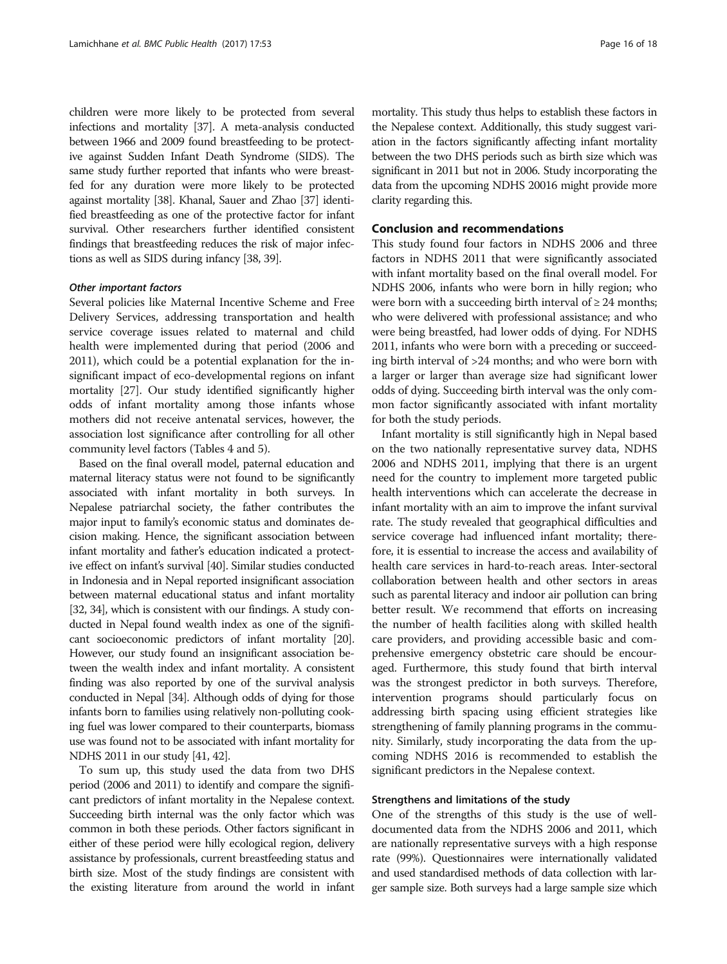children were more likely to be protected from several infections and mortality [[37](#page-17-0)]. A meta-analysis conducted between 1966 and 2009 found breastfeeding to be protective against Sudden Infant Death Syndrome (SIDS). The same study further reported that infants who were breastfed for any duration were more likely to be protected against mortality [\[38](#page-17-0)]. Khanal, Sauer and Zhao [\[37](#page-17-0)] identified breastfeeding as one of the protective factor for infant survival. Other researchers further identified consistent findings that breastfeeding reduces the risk of major infections as well as SIDS during infancy [\[38, 39\]](#page-17-0).

Several policies like Maternal Incentive Scheme and Free Delivery Services, addressing transportation and health service coverage issues related to maternal and child health were implemented during that period (2006 and 2011), which could be a potential explanation for the insignificant impact of eco-developmental regions on infant mortality [\[27\]](#page-17-0). Our study identified significantly higher odds of infant mortality among those infants whose mothers did not receive antenatal services, however, the association lost significance after controlling for all other community level factors (Tables [4](#page-8-0) and [5](#page-11-0)).

Based on the final overall model, paternal education and maternal literacy status were not found to be significantly associated with infant mortality in both surveys. In Nepalese patriarchal society, the father contributes the major input to family's economic status and dominates decision making. Hence, the significant association between infant mortality and father's education indicated a protective effect on infant's survival [[40\]](#page-17-0). Similar studies conducted in Indonesia and in Nepal reported insignificant association between maternal educational status and infant mortality [[32](#page-17-0), [34](#page-17-0)], which is consistent with our findings. A study conducted in Nepal found wealth index as one of the significant socioeconomic predictors of infant mortality [\[20](#page-17-0)]. However, our study found an insignificant association between the wealth index and infant mortality. A consistent finding was also reported by one of the survival analysis conducted in Nepal [[34](#page-17-0)]. Although odds of dying for those infants born to families using relatively non-polluting cooking fuel was lower compared to their counterparts, biomass use was found not to be associated with infant mortality for NDHS 2011 in our study [\[41, 42\]](#page-17-0).

To sum up, this study used the data from two DHS period (2006 and 2011) to identify and compare the significant predictors of infant mortality in the Nepalese context. Succeeding birth internal was the only factor which was common in both these periods. Other factors significant in either of these period were hilly ecological region, delivery assistance by professionals, current breastfeeding status and birth size. Most of the study findings are consistent with the existing literature from around the world in infant mortality. This study thus helps to establish these factors in the Nepalese context. Additionally, this study suggest variation in the factors significantly affecting infant mortality between the two DHS periods such as birth size which was significant in 2011 but not in 2006. Study incorporating the data from the upcoming NDHS 20016 might provide more clarity regarding this.

#### Conclusion and recommendations

This study found four factors in NDHS 2006 and three factors in NDHS 2011 that were significantly associated with infant mortality based on the final overall model. For NDHS 2006, infants who were born in hilly region; who were born with a succeeding birth interval of  $\geq 24$  months; who were delivered with professional assistance; and who were being breastfed, had lower odds of dying. For NDHS 2011, infants who were born with a preceding or succeeding birth interval of >24 months; and who were born with a larger or larger than average size had significant lower odds of dying. Succeeding birth interval was the only common factor significantly associated with infant mortality for both the study periods.

Infant mortality is still significantly high in Nepal based on the two nationally representative survey data, NDHS 2006 and NDHS 2011, implying that there is an urgent need for the country to implement more targeted public health interventions which can accelerate the decrease in infant mortality with an aim to improve the infant survival rate. The study revealed that geographical difficulties and service coverage had influenced infant mortality; therefore, it is essential to increase the access and availability of health care services in hard-to-reach areas. Inter-sectoral collaboration between health and other sectors in areas such as parental literacy and indoor air pollution can bring better result. We recommend that efforts on increasing the number of health facilities along with skilled health care providers, and providing accessible basic and comprehensive emergency obstetric care should be encouraged. Furthermore, this study found that birth interval was the strongest predictor in both surveys. Therefore, intervention programs should particularly focus on addressing birth spacing using efficient strategies like strengthening of family planning programs in the community. Similarly, study incorporating the data from the upcoming NDHS 2016 is recommended to establish the significant predictors in the Nepalese context.

#### Strengthens and limitations of the study

One of the strengths of this study is the use of welldocumented data from the NDHS 2006 and 2011, which are nationally representative surveys with a high response rate (99%). Questionnaires were internationally validated and used standardised methods of data collection with larger sample size. Both surveys had a large sample size which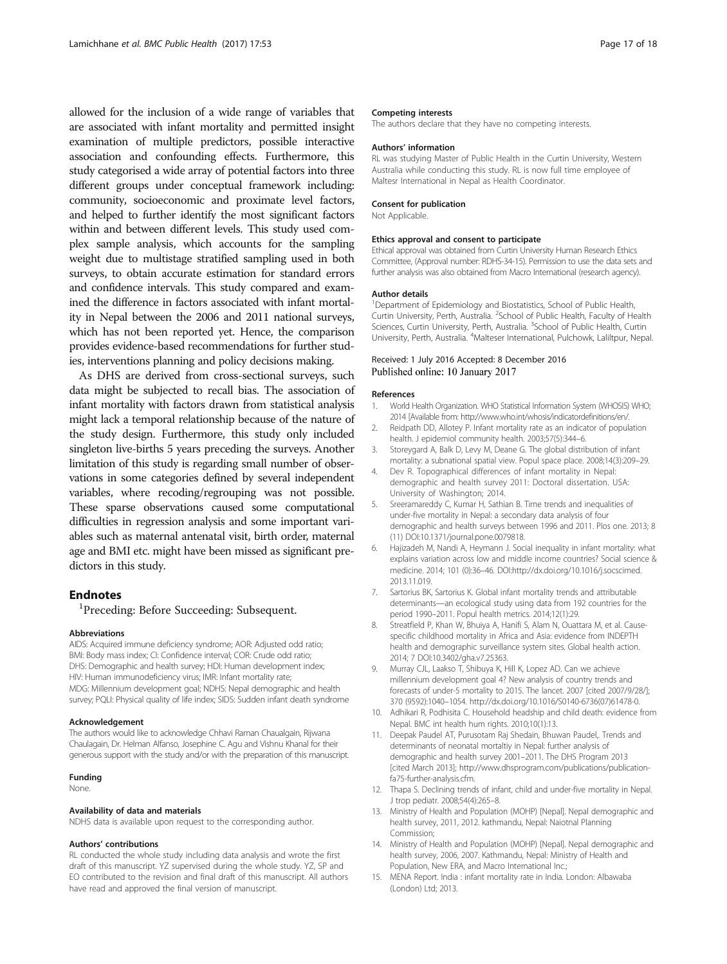<span id="page-16-0"></span>allowed for the inclusion of a wide range of variables that are associated with infant mortality and permitted insight examination of multiple predictors, possible interactive association and confounding effects. Furthermore, this study categorised a wide array of potential factors into three different groups under conceptual framework including: community, socioeconomic and proximate level factors, and helped to further identify the most significant factors within and between different levels. This study used complex sample analysis, which accounts for the sampling weight due to multistage stratified sampling used in both surveys, to obtain accurate estimation for standard errors and confidence intervals. This study compared and examined the difference in factors associated with infant mortality in Nepal between the 2006 and 2011 national surveys, which has not been reported yet. Hence, the comparison provides evidence-based recommendations for further studies, interventions planning and policy decisions making.

As DHS are derived from cross-sectional surveys, such data might be subjected to recall bias. The association of infant mortality with factors drawn from statistical analysis might lack a temporal relationship because of the nature of the study design. Furthermore, this study only included singleton live-births 5 years preceding the surveys. Another limitation of this study is regarding small number of observations in some categories defined by several independent variables, where recoding/regrouping was not possible. These sparse observations caused some computational difficulties in regression analysis and some important variables such as maternal antenatal visit, birth order, maternal age and BMI etc. might have been missed as significant predictors in this study.

#### **Endnotes**

<sup>1</sup>Preceding: Before Succeeding: Subsequent.

#### Abbreviations

AIDS: Acquired immune deficiency syndrome; AOR: Adjusted odd ratio; BMI: Body mass index; CI: Confidence interval; COR: Crude odd ratio; DHS: Demographic and health survey; HDI: Human development index; HIV: Human immunodeficiency virus; IMR: Infant mortality rate; MDG: Millennium development goal; NDHS: Nepal demographic and health survey; PQLI: Physical quality of life index; SIDS: Sudden infant death syndrome

#### Acknowledgement

The authors would like to acknowledge Chhavi Raman Chaualgain, Rijwana Chaulagain, Dr. Helman Alfanso, Josephine C. Agu and Vishnu Khanal for their generous support with the study and/or with the preparation of this manuscript.

#### Funding

None.

#### Availability of data and materials

NDHS data is available upon request to the corresponding author.

#### Authors' contributions

RL conducted the whole study including data analysis and wrote the first draft of this manuscript. YZ supervised during the whole study. YZ, SP and EO contributed to the revision and final draft of this manuscript. All authors have read and approved the final version of manuscript.

#### Competing interests

The authors declare that they have no competing interests.

#### Authors' information

RL was studying Master of Public Health in the Curtin University, Western Australia while conducting this study. RL is now full time employee of Maltesr International in Nepal as Health Coordinator.

#### Consent for publication

Not Applicable.

#### Ethics approval and consent to participate

Ethical approval was obtained from Curtin University Human Research Ethics Committee, (Approval number: RDHS-34-15). Permission to use the data sets and further analysis was also obtained from Macro International (research agency).

#### Author details

<sup>1</sup>Department of Epidemiology and Biostatistics, School of Public Health, Curtin University, Perth, Australia. <sup>2</sup>School of Public Health, Faculty of Health Sciences, Curtin University, Perth, Australia. <sup>3</sup>School of Public Health, Curtin University, Perth, Australia. <sup>4</sup>Malteser International, Pulchowk, Laliltpur, Nepal.

#### Received: 1 July 2016 Accepted: 8 December 2016 Published online: 10 January 2017

#### References

- 1. World Health Organization. WHO Statistical Information System (WHOSIS) WHO; 2014 [Available from: [http://www.who.int/whosis/indicatordefinitions/en/.](http://www.who.int/whosis/indicatordefinitions/en/)
- 2. Reidpath DD, Allotey P. Infant mortality rate as an indicator of population health. J epidemiol community health. 2003;57(5):344–6.
- 3. Storeygard A, Balk D, Levy M, Deane G. The global distribution of infant mortality: a subnational spatial view. Popul space place. 2008;14(3):209–29.
- 4. Dev R. Topographical differences of infant mortality in Nepal: demographic and health survey 2011: Doctoral dissertation. USA: University of Washington; 2014.
- 5. Sreeramareddy C, Kumar H, Sathian B. Time trends and inequalities of under-five mortality in Nepal: a secondary data analysis of four demographic and health surveys between 1996 and 2011. Plos one. 2013; 8 (11) DOI[:10.1371/journal.pone.0079818](http://dx.doi.org/10.1371/journal.pone.0079818).
- 6. Hajizadeh M, Nandi A, Heymann J. Social inequality in infant mortality: what explains variation across low and middle income countries? Social science & medicine. 2014; 101 (0):36–46. DOI:http://dx.doi.org[/10.1016/j.socscimed.](http://dx.doi.org/10.1016/j.socscimed.2013.11.019) [2013.11.019.](http://dx.doi.org/10.1016/j.socscimed.2013.11.019)
- 7. Sartorius BK, Sartorius K. Global infant mortality trends and attributable determinants—an ecological study using data from 192 countries for the period 1990–2011. Popul health metrics. 2014;12(1):29.
- 8. Streatfield P, Khan W, Bhuiya A, Hanifi S, Alam N, Ouattara M, et al. Causespecific childhood mortality in Africa and Asia: evidence from INDEPTH health and demographic surveillance system sites. Global health action. 2014; 7 DOI[:10.3402/gha.v7.25363](http://dx.doi.org/10.3402/gha.v7.25363).
- 9. Murray CJL, Laakso T, Shibuya K, Hill K, Lopez AD. Can we achieve millennium development goal 4? New analysis of country trends and forecasts of under-5 mortality to 2015. The lancet. 2007 [cited 2007/9/28/]; 370 (9592):1040–1054. http://dx.doi.org[/10.1016/S0140-6736\(07\)61478-0](http://dx.doi.org/10.1016/S0140-6736(07)61478-0).
- 10. Adhikari R, Podhisita C. Household headship and child death: evidence from Nepal. BMC int health hum rights. 2010;10(1):13.
- 11. Deepak Paudel AT, Purusotam Raj Shedain, Bhuwan Paudel,. Trends and determinants of neonatal mortaltiy in Nepal: further analysis of demographic and health survey 2001–2011. The DHS Program 2013 [cited March 2013]; [http://www.dhsprogram.com/publications/publication](http://www.dhsprogram.com/publications/publication-fa75-further-analysis.cfm)[fa75-further-analysis.cfm](http://www.dhsprogram.com/publications/publication-fa75-further-analysis.cfm).
- 12. Thapa S. Declining trends of infant, child and under-five mortality in Nepal. J trop pediatr. 2008;54(4):265–8.
- 13. Ministry of Health and Population (MOHP) [Nepal]. Nepal demographic and health survey, 2011, 2012. kathmandu, Nepal: Naiotnal Planning Commission;
- 14. Ministry of Health and Population (MOHP) [Nepal]. Nepal demographic and health survey, 2006, 2007. Kathmandu, Nepal: Ministry of Health and Population, New ERA, and Macro International Inc.;
- 15. MENA Report. India : infant mortality rate in India. London: Albawaba (London) Ltd; 2013.